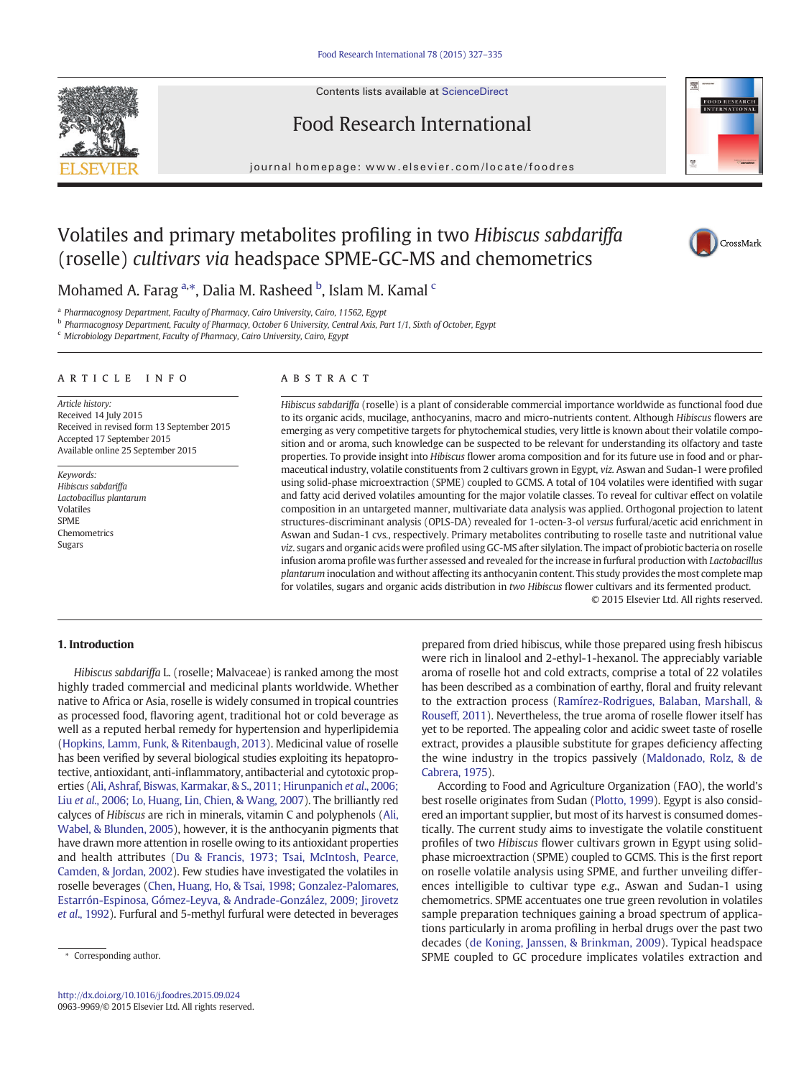

Contents lists available at [ScienceDirect](http://www.sciencedirect.com/science/journal/09639969)

# Food Research International

journal homepage:<www.elsevier.com/locate/foodres>



# Volatiles and primary metabolites profiling in two Hibiscus sabdariffa (roselle) cultivars via headspace SPME-GC-MS and chemometrics



Mohamed A. Farag <sup>a,\*</sup>, Dalia M. Rasheed <sup>b</sup>, Islam M. Kamal <sup>c</sup>

<sup>a</sup> Pharmacognosy Department, Faculty of Pharmacy, Cairo University, Cairo, 11562, Egypt

<sup>b</sup> Pharmacognosy Department, Faculty of Pharmacy, October 6 University, Central Axis, Part 1/1, Sixth of October, Egypt

<sup>c</sup> Microbiology Department, Faculty of Pharmacy, Cairo University, Cairo, Egypt

#### article info abstract

Article history: Received 14 July 2015 Received in revised form 13 September 2015 Accepted 17 September 2015 Available online 25 September 2015

Keywords: Hibiscus sabdariffa Lactobacillus plantarum Volatiles SPME Chemometrics Sugars

Hibiscus sabdariffa (roselle) is a plant of considerable commercial importance worldwide as functional food due to its organic acids, mucilage, anthocyanins, macro and micro-nutrients content. Although Hibiscus flowers are emerging as very competitive targets for phytochemical studies, very little is known about their volatile composition and or aroma, such knowledge can be suspected to be relevant for understanding its olfactory and taste properties. To provide insight into Hibiscus flower aroma composition and for its future use in food and or pharmaceutical industry, volatile constituents from 2 cultivars grown in Egypt, viz. Aswan and Sudan-1 were profiled using solid-phase microextraction (SPME) coupled to GCMS. A total of 104 volatiles were identified with sugar and fatty acid derived volatiles amounting for the major volatile classes. To reveal for cultivar effect on volatile composition in an untargeted manner, multivariate data analysis was applied. Orthogonal projection to latent structures-discriminant analysis (OPLS-DA) revealed for 1-octen-3-ol versus furfural/acetic acid enrichment in Aswan and Sudan-1 cvs., respectively. Primary metabolites contributing to roselle taste and nutritional value viz. sugars and organic acids were profiled using GC-MS after silylation. The impact of probiotic bacteria on roselle infusion aroma profile was further assessed and revealed for the increase in furfural production with Lactobacillus plantarum inoculation and without affecting its anthocyanin content. This study provides the most complete map for volatiles, sugars and organic acids distribution in two Hibiscus flower cultivars and its fermented product.

© 2015 Elsevier Ltd. All rights reserved.

# 1. Introduction

Hibiscus sabdariffa L. (roselle; Malvaceae) is ranked among the most highly traded commercial and medicinal plants worldwide. Whether native to Africa or Asia, roselle is widely consumed in tropical countries as processed food, flavoring agent, traditional hot or cold beverage as well as a reputed herbal remedy for hypertension and hyperlipidemia [\(Hopkins, Lamm, Funk, & Ritenbaugh, 2013\)](#page-8-0). Medicinal value of roselle has been verified by several biological studies exploiting its hepatoprotective, antioxidant, anti-inflammatory, antibacterial and cytotoxic properties [\(Ali, Ashraf, Biswas, Karmakar, & S., 2011; Hirunpanich](#page-7-0) et al., 2006; Liu et al[., 2006; Lo, Huang, Lin, Chien, & Wang, 2007\)](#page-7-0). The brilliantly red calyces of Hibiscus are rich in minerals, vitamin C and polyphenols [\(Ali,](#page-7-0) [Wabel, & Blunden, 2005\)](#page-7-0), however, it is the anthocyanin pigments that have drawn more attention in roselle owing to its antioxidant properties and health attributes [\(Du & Francis, 1973; Tsai, McIntosh, Pearce,](#page-7-0) [Camden, & Jordan, 2002](#page-7-0)). Few studies have investigated the volatiles in roselle beverages [\(Chen, Huang, Ho, & Tsai, 1998; Gonzalez-Palomares,](#page-7-0) [Estarrón-Espinosa, Gómez-Leyva, & Andrade-González, 2009; Jirovetz](#page-7-0) et al[., 1992](#page-7-0)). Furfural and 5-methyl furfural were detected in beverages

prepared from dried hibiscus, while those prepared using fresh hibiscus were rich in linalool and 2-ethyl-1-hexanol. The appreciably variable aroma of roselle hot and cold extracts, comprise a total of 22 volatiles has been described as a combination of earthy, floral and fruity relevant to the extraction process ([Ramírez-Rodrigues, Balaban, Marshall, &](#page-8-0) [Rouseff, 2011](#page-8-0)). Nevertheless, the true aroma of roselle flower itself has yet to be reported. The appealing color and acidic sweet taste of roselle extract, provides a plausible substitute for grapes deficiency affecting the wine industry in the tropics passively [\(Maldonado, Rolz, & de](#page-8-0) [Cabrera, 1975\)](#page-8-0).

According to Food and Agriculture Organization (FAO), the world's best roselle originates from Sudan [\(Plotto, 1999](#page-8-0)). Egypt is also considered an important supplier, but most of its harvest is consumed domestically. The current study aims to investigate the volatile constituent profiles of two Hibiscus flower cultivars grown in Egypt using solidphase microextraction (SPME) coupled to GCMS. This is the first report on roselle volatile analysis using SPME, and further unveiling differences intelligible to cultivar type e.g., Aswan and Sudan-1 using chemometrics. SPME accentuates one true green revolution in volatiles sample preparation techniques gaining a broad spectrum of applications particularly in aroma profiling in herbal drugs over the past two decades ([de Koning, Janssen, & Brinkman, 2009\)](#page-7-0). Typical headspace SPME coupled to GC procedure implicates volatiles extraction and

Corresponding author.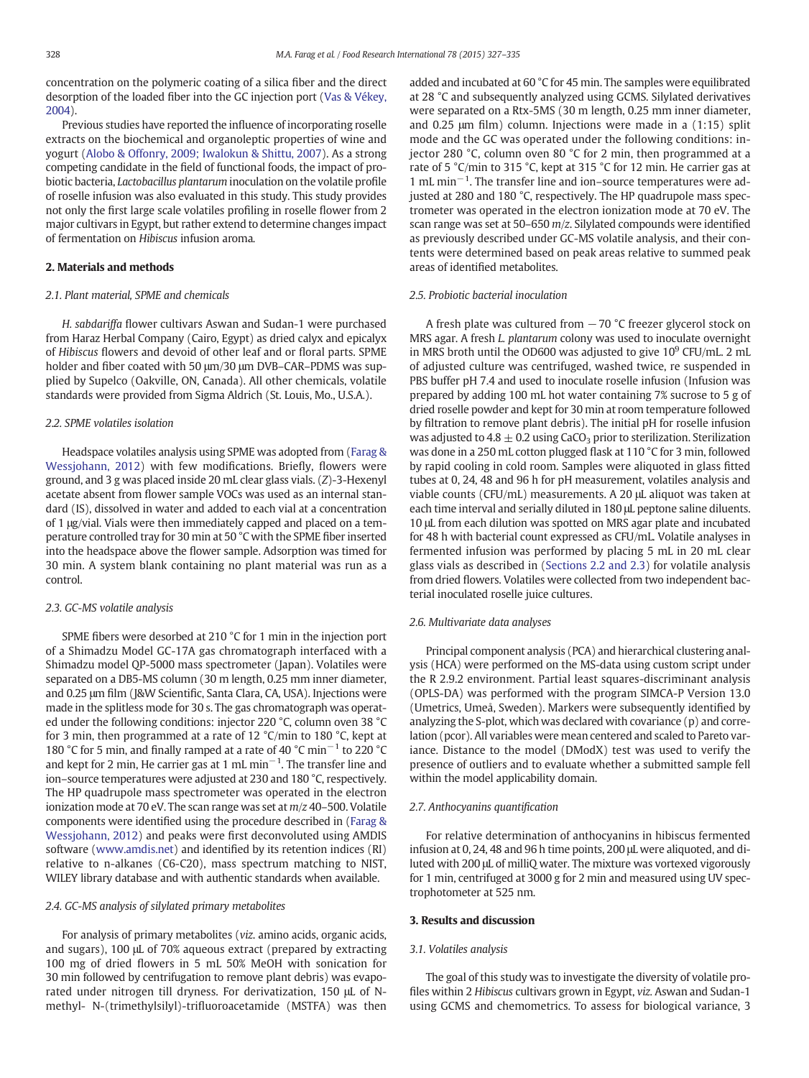<span id="page-1-0"></span>concentration on the polymeric coating of a silica fiber and the direct desorption of the loaded fiber into the GC injection port ([Vas & Vékey,](#page-8-0) [2004\)](#page-8-0).

Previous studies have reported the influence of incorporating roselle extracts on the biochemical and organoleptic properties of wine and yogurt [\(Alobo & Offonry, 2009; Iwalokun & Shittu, 2007\)](#page-7-0). As a strong competing candidate in the field of functional foods, the impact of probiotic bacteria, Lactobacillus plantarum inoculation on the volatile profile of roselle infusion was also evaluated in this study. This study provides not only the first large scale volatiles profiling in roselle flower from 2 major cultivars in Egypt, but rather extend to determine changes impact of fermentation on Hibiscus infusion aroma.

# 2. Materials and methods

# 2.1. Plant material, SPME and chemicals

H. sabdariffa flower cultivars Aswan and Sudan-1 were purchased from Haraz Herbal Company (Cairo, Egypt) as dried calyx and epicalyx of Hibiscus flowers and devoid of other leaf and or floral parts. SPME holder and fiber coated with 50 μm/30 μm DVB–CAR–PDMS was supplied by Supelco (Oakville, ON, Canada). All other chemicals, volatile standards were provided from Sigma Aldrich (St. Louis, Mo., U.S.A.).

# 2.2. SPME volatiles isolation

Headspace volatiles analysis using SPME was adopted from [\(Farag &](#page-7-0) [Wessjohann, 2012](#page-7-0)) with few modifications. Briefly, flowers were ground, and 3 g was placed inside 20 mL clear glass vials. (Z)-3-Hexenyl acetate absent from flower sample VOCs was used as an internal standard (IS), dissolved in water and added to each vial at a concentration of 1 μg/vial. Vials were then immediately capped and placed on a temperature controlled tray for 30 min at 50 °C with the SPME fiber inserted into the headspace above the flower sample. Adsorption was timed for 30 min. A system blank containing no plant material was run as a control.

#### 2.3. GC-MS volatile analysis

SPME fibers were desorbed at 210 °C for 1 min in the injection port of a Shimadzu Model GC-17A gas chromatograph interfaced with a Shimadzu model QP-5000 mass spectrometer (Japan). Volatiles were separated on a DB5-MS column (30 m length, 0.25 mm inner diameter, and 0.25 μm film (J&W Scientific, Santa Clara, CA, USA). Injections were made in the splitless mode for 30 s. The gas chromatograph was operated under the following conditions: injector 220 °C, column oven 38 °C for 3 min, then programmed at a rate of 12 °C/min to 180 °C, kept at 180 °C for 5 min, and finally ramped at a rate of 40 °C min−<sup>1</sup> to 220 °C and kept for 2 min, He carrier gas at 1 mL min<sup> $-1$ </sup>. The transfer line and ion–source temperatures were adjusted at 230 and 180 °C, respectively. The HP quadrupole mass spectrometer was operated in the electron ionization mode at 70 eV. The scan range was set at m/z 40–500. Volatile components were identified using the procedure described in [\(Farag &](#page-7-0) [Wessjohann, 2012\)](#page-7-0) and peaks were first deconvoluted using AMDIS software ([www.amdis.net\)](http://www.amdis.net) and identified by its retention indices (RI) relative to n-alkanes (C6-C20), mass spectrum matching to NIST, WILEY library database and with authentic standards when available.

# 2.4. GC-MS analysis of silylated primary metabolites

For analysis of primary metabolites (viz. amino acids, organic acids, and sugars), 100 μL of 70% aqueous extract (prepared by extracting 100 mg of dried flowers in 5 mL 50% MeOH with sonication for 30 min followed by centrifugation to remove plant debris) was evaporated under nitrogen till dryness. For derivatization, 150 μL of Nmethyl- N-(trimethylsilyl)-trifluoroacetamide (MSTFA) was then added and incubated at 60 °C for 45 min. The samples were equilibrated at 28 °C and subsequently analyzed using GCMS. Silylated derivatives were separated on a Rtx-5MS (30 m length, 0.25 mm inner diameter, and 0.25 μm film) column. Injections were made in a (1:15) split mode and the GC was operated under the following conditions: injector 280 °C, column oven 80 °C for 2 min, then programmed at a rate of 5 °C/min to 315 °C, kept at 315 °C for 12 min. He carrier gas at 1 mL min−<sup>1</sup> . The transfer line and ion–source temperatures were adjusted at 280 and 180 °C, respectively. The HP quadrupole mass spectrometer was operated in the electron ionization mode at 70 eV. The scan range was set at 50–650  $m/z$ . Silylated compounds were identified as previously described under GC-MS volatile analysis, and their contents were determined based on peak areas relative to summed peak areas of identified metabolites.

#### 2.5. Probiotic bacterial inoculation

A fresh plate was cultured from −70 °C freezer glycerol stock on MRS agar. A fresh L. plantarum colony was used to inoculate overnight in MRS broth until the OD600 was adjusted to give  $10^9$  CFU/mL. 2 mL of adjusted culture was centrifuged, washed twice, re suspended in PBS buffer pH 7.4 and used to inoculate roselle infusion (Infusion was prepared by adding 100 mL hot water containing 7% sucrose to 5 g of dried roselle powder and kept for 30 min at room temperature followed by filtration to remove plant debris). The initial pH for roselle infusion was adjusted to  $4.8 \pm 0.2$  using CaCO<sub>3</sub> prior to sterilization. Sterilization was done in a 250 mL cotton plugged flask at 110 °C for 3 min, followed by rapid cooling in cold room. Samples were aliquoted in glass fitted tubes at 0, 24, 48 and 96 h for pH measurement, volatiles analysis and viable counts (CFU/mL) measurements. A 20 μL aliquot was taken at each time interval and serially diluted in 180 μL peptone saline diluents. 10 μL from each dilution was spotted on MRS agar plate and incubated for 48 h with bacterial count expressed as CFU/mL. Volatile analyses in fermented infusion was performed by placing 5 mL in 20 mL clear glass vials as described in (Sections 2.2 and 2.3) for volatile analysis from dried flowers. Volatiles were collected from two independent bacterial inoculated roselle juice cultures.

#### 2.6. Multivariate data analyses

Principal component analysis (PCA) and hierarchical clustering analysis (HCA) were performed on the MS-data using custom script under the R 2.9.2 environment. Partial least squares-discriminant analysis (OPLS-DA) was performed with the program SIMCA-P Version 13.0 (Umetrics, Umeå, Sweden). Markers were subsequently identified by analyzing the S-plot, which was declared with covariance (p) and correlation (pcor). All variables were mean centered and scaled to Pareto variance. Distance to the model (DModX) test was used to verify the presence of outliers and to evaluate whether a submitted sample fell within the model applicability domain.

# 2.7. Anthocyanins quantification

For relative determination of anthocyanins in hibiscus fermented infusion at 0, 24, 48 and 96 h time points, 200 μL were aliquoted, and diluted with 200 μL of milliQ water. The mixture was vortexed vigorously for 1 min, centrifuged at 3000 g for 2 min and measured using UV spectrophotometer at 525 nm.

#### 3. Results and discussion

#### 3.1. Volatiles analysis

The goal of this study was to investigate the diversity of volatile profiles within 2 Hibiscus cultivars grown in Egypt, viz. Aswan and Sudan-1 using GCMS and chemometrics. To assess for biological variance, 3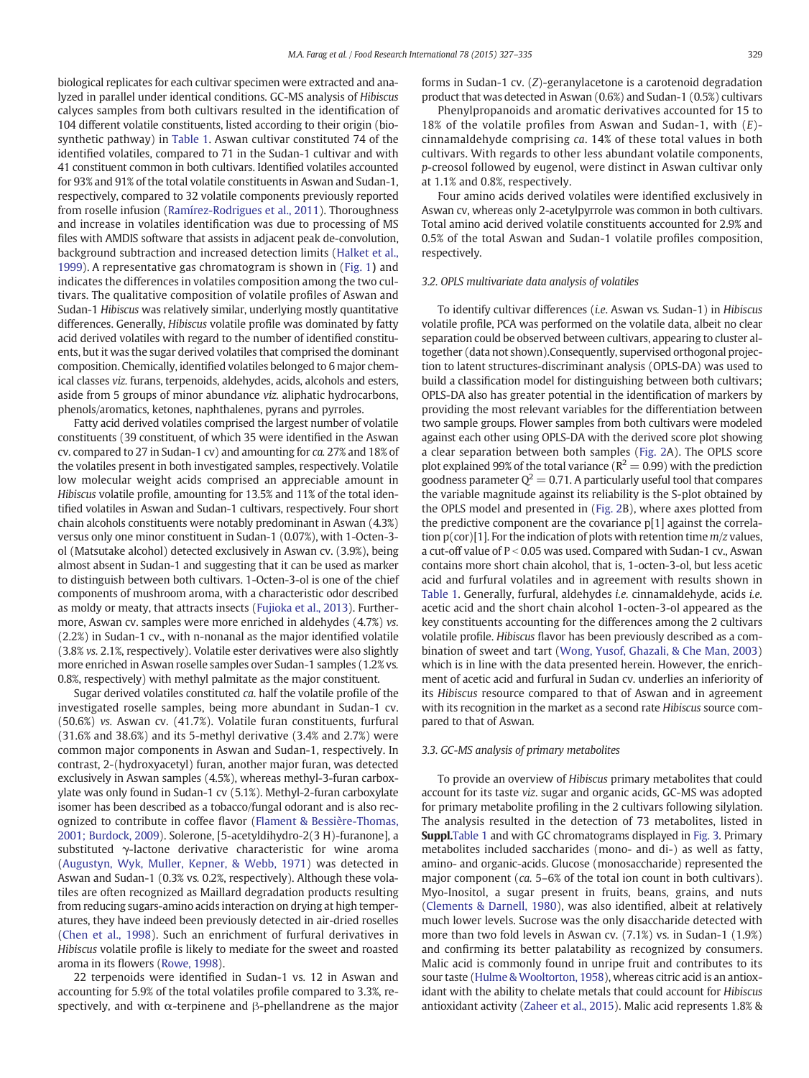biological replicates for each cultivar specimen were extracted and analyzed in parallel under identical conditions. GC-MS analysis of Hibiscus calyces samples from both cultivars resulted in the identification of 104 different volatile constituents, listed according to their origin (biosynthetic pathway) in [Table 1.](#page-3-0) Aswan cultivar constituted 74 of the identified volatiles, compared to 71 in the Sudan-1 cultivar and with 41 constituent common in both cultivars. Identified volatiles accounted for 93% and 91% of the total volatile constituents in Aswan and Sudan-1, respectively, compared to 32 volatile components previously reported from roselle infusion ([Ramírez-Rodrigues et al., 2011\)](#page-8-0). Thoroughness and increase in volatiles identification was due to processing of MS files with AMDIS software that assists in adjacent peak de-convolution, background subtraction and increased detection limits ([Halket et al.,](#page-7-0) [1999\)](#page-7-0). A representative gas chromatogram is shown in ([Fig. 1](#page-5-0)) and indicates the differences in volatiles composition among the two cultivars. The qualitative composition of volatile profiles of Aswan and Sudan-1 Hibiscus was relatively similar, underlying mostly quantitative differences. Generally, Hibiscus volatile profile was dominated by fatty acid derived volatiles with regard to the number of identified constituents, but it was the sugar derived volatiles that comprised the dominant composition. Chemically, identified volatiles belonged to 6 major chemical classes viz. furans, terpenoids, aldehydes, acids, alcohols and esters, aside from 5 groups of minor abundance viz. aliphatic hydrocarbons, phenols/aromatics, ketones, naphthalenes, pyrans and pyrroles.

Fatty acid derived volatiles comprised the largest number of volatile constituents (39 constituent, of which 35 were identified in the Aswan cv. compared to 27 in Sudan-1 cv) and amounting for ca. 27% and 18% of the volatiles present in both investigated samples, respectively. Volatile low molecular weight acids comprised an appreciable amount in Hibiscus volatile profile, amounting for 13.5% and 11% of the total identified volatiles in Aswan and Sudan-1 cultivars, respectively. Four short chain alcohols constituents were notably predominant in Aswan (4.3%) versus only one minor constituent in Sudan-1 (0.07%), with 1-Octen-3 ol (Matsutake alcohol) detected exclusively in Aswan cv. (3.9%), being almost absent in Sudan-1 and suggesting that it can be used as marker to distinguish between both cultivars. 1-Octen-3-ol is one of the chief components of mushroom aroma, with a characteristic odor described as moldy or meaty, that attracts insects [\(Fujioka et al., 2013](#page-7-0)). Furthermore, Aswan cv. samples were more enriched in aldehydes (4.7%) vs. (2.2%) in Sudan-1 cv., with n-nonanal as the major identified volatile (3.8% vs. 2.1%, respectively). Volatile ester derivatives were also slightly more enriched in Aswan roselle samples over Sudan-1 samples (1.2% vs. 0.8%, respectively) with methyl palmitate as the major constituent.

Sugar derived volatiles constituted ca. half the volatile profile of the investigated roselle samples, being more abundant in Sudan-1 cv. (50.6%) vs. Aswan cv. (41.7%). Volatile furan constituents, furfural (31.6% and 38.6%) and its 5-methyl derivative (3.4% and 2.7%) were common major components in Aswan and Sudan-1, respectively. In contrast, 2-(hydroxyacetyl) furan, another major furan, was detected exclusively in Aswan samples (4.5%), whereas methyl-3-furan carboxylate was only found in Sudan-1 cv (5.1%). Methyl-2-furan carboxylate isomer has been described as a tobacco/fungal odorant and is also recognized to contribute in coffee flavor [\(Flament & Bessière-Thomas,](#page-7-0) [2001; Burdock, 2009](#page-7-0)). Solerone, [5-acetyldihydro-2(3 H)-furanone], a substituted γ-lactone derivative characteristic for wine aroma [\(Augustyn, Wyk, Muller, Kepner, & Webb, 1971\)](#page-7-0) was detected in Aswan and Sudan-1 (0.3% vs. 0.2%, respectively). Although these volatiles are often recognized as Maillard degradation products resulting from reducing sugars-amino acids interaction on drying at high temperatures, they have indeed been previously detected in air-dried roselles [\(Chen et al., 1998](#page-7-0)). Such an enrichment of furfural derivatives in Hibiscus volatile profile is likely to mediate for the sweet and roasted aroma in its flowers ([Rowe, 1998](#page-8-0)).

22 terpenoids were identified in Sudan-1 vs. 12 in Aswan and accounting for 5.9% of the total volatiles profile compared to 3.3%, respectively, and with  $\alpha$ -terpinene and  $\beta$ -phellandrene as the major forms in Sudan-1 cv. (Z)-geranylacetone is a carotenoid degradation product that was detected in Aswan (0.6%) and Sudan-1 (0.5%) cultivars

Phenylpropanoids and aromatic derivatives accounted for 15 to 18% of the volatile profiles from Aswan and Sudan-1, with  $(E)$ cinnamaldehyde comprising ca. 14% of these total values in both cultivars. With regards to other less abundant volatile components, p-creosol followed by eugenol, were distinct in Aswan cultivar only at 1.1% and 0.8%, respectively.

Four amino acids derived volatiles were identified exclusively in Aswan cv, whereas only 2-acetylpyrrole was common in both cultivars. Total amino acid derived volatile constituents accounted for 2.9% and 0.5% of the total Aswan and Sudan-1 volatile profiles composition, respectively.

# 3.2. OPLS multivariate data analysis of volatiles

To identify cultivar differences (i.e. Aswan vs. Sudan-1) in Hibiscus volatile profile, PCA was performed on the volatile data, albeit no clear separation could be observed between cultivars, appearing to cluster altogether (data not shown).Consequently, supervised orthogonal projection to latent structures-discriminant analysis (OPLS-DA) was used to build a classification model for distinguishing between both cultivars; OPLS-DA also has greater potential in the identification of markers by providing the most relevant variables for the differentiation between two sample groups. Flower samples from both cultivars were modeled against each other using OPLS-DA with the derived score plot showing a clear separation between both samples ([Fig. 2](#page-5-0)A). The OPLS score plot explained 99% of the total variance ( $R^2 = 0.99$ ) with the prediction goodness parameter  $Q^2 = 0.71$ . A particularly useful tool that compares the variable magnitude against its reliability is the S-plot obtained by the OPLS model and presented in ([Fig. 2](#page-5-0)B), where axes plotted from the predictive component are the covariance p[1] against the correlation  $p(cor)[1]$ . For the indication of plots with retention time  $m/z$  values, a cut-off value of  $P < 0.05$  was used. Compared with Sudan-1 cv., Aswan contains more short chain alcohol, that is, 1-octen-3-ol, but less acetic acid and furfural volatiles and in agreement with results shown in [Table 1](#page-3-0). Generally, furfural, aldehydes i.e. cinnamaldehyde, acids i.e. acetic acid and the short chain alcohol 1-octen-3-ol appeared as the key constituents accounting for the differences among the 2 cultivars volatile profile. Hibiscus flavor has been previously described as a combination of sweet and tart [\(Wong, Yusof, Ghazali, & Che Man, 2003](#page-8-0)) which is in line with the data presented herein. However, the enrichment of acetic acid and furfural in Sudan cv. underlies an inferiority of its Hibiscus resource compared to that of Aswan and in agreement with its recognition in the market as a second rate Hibiscus source compared to that of Aswan.

#### 3.3. GC-MS analysis of primary metabolites

To provide an overview of Hibiscus primary metabolites that could account for its taste viz. sugar and organic acids, GC-MS was adopted for primary metabolite profiling in the 2 cultivars following silylation. The analysis resulted in the detection of 73 metabolites, listed in **Suppl.**[Table 1](#page-3-0) and with GC chromatograms displayed in [Fig. 3](#page-6-0). Primary metabolites included saccharides (mono- and di-) as well as fatty, amino- and organic-acids. Glucose (monosaccharide) represented the major component (ca. 5–6% of the total ion count in both cultivars). Myo-Inositol, a sugar present in fruits, beans, grains, and nuts [\(Clements & Darnell, 1980\)](#page-7-0), was also identified, albeit at relatively much lower levels. Sucrose was the only disaccharide detected with more than two fold levels in Aswan cv. (7.1%) vs. in Sudan-1 (1.9%) and confirming its better palatability as recognized by consumers. Malic acid is commonly found in unripe fruit and contributes to its sour taste ([Hulme & Wooltorton, 1958\)](#page-8-0), whereas citric acid is an antioxidant with the ability to chelate metals that could account for Hibiscus antioxidant activity [\(Zaheer et al., 2015](#page-8-0)). Malic acid represents 1.8% &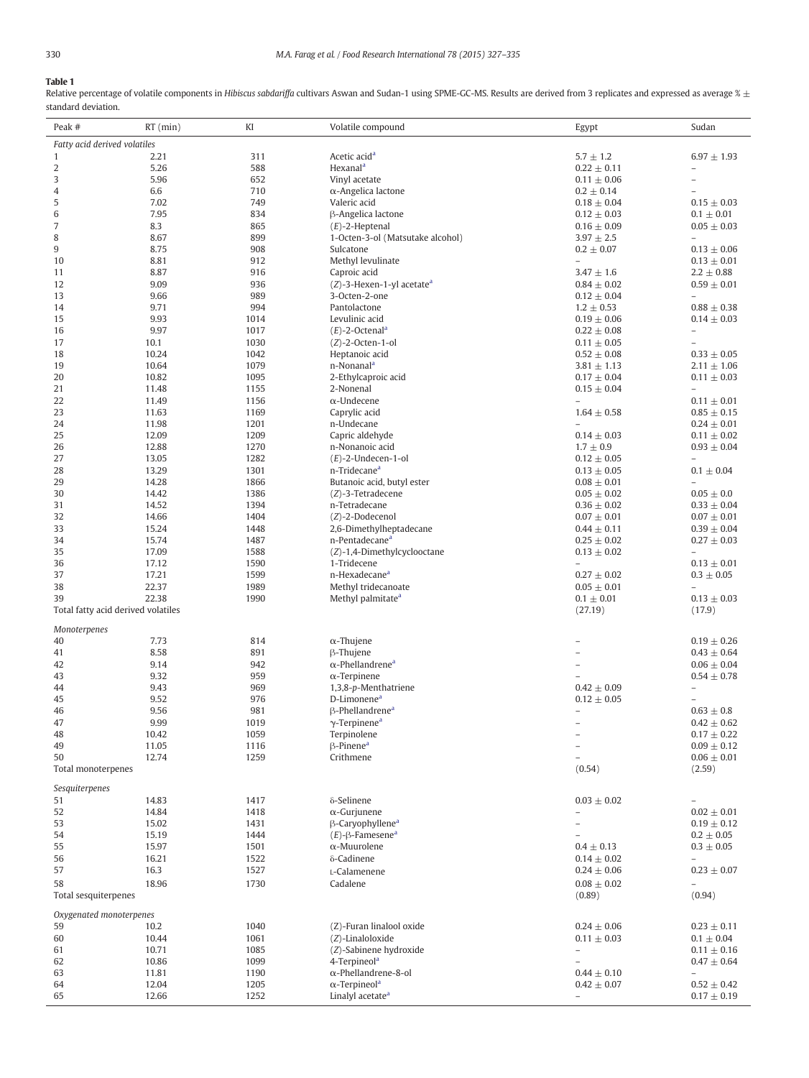# <span id="page-3-0"></span>Table 1

Relative percentage of volatile components in Hibiscus sabdariffa cultivars Aswan and Sudan-1 using SPME-GC-MS. Results are derived from 3 replicates and expressed as average  $\frac{x}{\pm}$ standard deviation.

| Peak #                       | $RT$ (min)                         | KI           | Volatile compound                                       | Egypt                              | Sudan                                       |  |  |  |  |
|------------------------------|------------------------------------|--------------|---------------------------------------------------------|------------------------------------|---------------------------------------------|--|--|--|--|
| Fatty acid derived volatiles |                                    |              |                                                         |                                    |                                             |  |  |  |  |
| $\mathbf{1}$                 | 2.21                               | 311          | Acetic acid <sup>a</sup>                                | $5.7 \pm 1.2$                      | $6.97 \pm 1.93$                             |  |  |  |  |
| 2                            | 5.26                               | 588          | Hexanal <sup>a</sup>                                    | $0.22 \pm 0.11$                    |                                             |  |  |  |  |
| 3                            | 5.96                               | 652          | Vinyl acetate                                           | $0.11 \pm 0.06$                    | $\overline{a}$                              |  |  |  |  |
| $\overline{4}$               | 6.6                                | 710          | $\alpha$ -Angelica lactone                              | $0.2 \pm 0.14$                     |                                             |  |  |  |  |
| 5                            | 7.02                               | 749          | Valeric acid                                            | $0.18 \pm 0.04$                    | $0.15 \pm 0.03$                             |  |  |  |  |
| 6<br>$\overline{7}$          | 7.95<br>8.3                        | 834<br>865   | β-Angelica lactone<br>$(E)$ -2-Heptenal                 | $0.12 \pm 0.03$<br>$0.16 \pm 0.09$ | $0.1 \pm 0.01$<br>$0.05 \pm 0.03$           |  |  |  |  |
| 8                            | 8.67                               | 899          | 1-Octen-3-ol (Matsutake alcohol)                        | $3.97 \pm 2.5$                     |                                             |  |  |  |  |
| 9                            | 8.75                               | 908          | Sulcatone                                               | $0.2 \pm 0.07$                     | $0.13 \pm 0.06$                             |  |  |  |  |
| 10                           | 8.81                               | 912          | Methyl levulinate                                       | $\overline{\phantom{a}}$           | $0.13 \pm 0.01$                             |  |  |  |  |
| 11                           | 8.87                               | 916          | Caproic acid                                            | $3.47 \pm 1.6$                     | $2.2 \pm 0.88$                              |  |  |  |  |
| 12                           | 9.09                               | 936          | $(Z)$ -3-Hexen-1-yl acetate <sup>a</sup>                | $0.84 \pm 0.02$                    | $0.59 \pm 0.01$                             |  |  |  |  |
| 13                           | 9.66                               | 989          | 3-Octen-2-one                                           | $0.12 \pm 0.04$                    | $\overline{\phantom{0}}$                    |  |  |  |  |
| 14                           | 9.71                               | 994          | Pantolactone                                            | $1.2 \pm 0.53$                     | $0.88 \pm 0.38$                             |  |  |  |  |
| 15<br>16                     | 9.93<br>9.97                       | 1014<br>1017 | Levulinic acid<br>$(E)$ -2-Octenal <sup>a</sup>         | $0.19 \pm 0.06$<br>$0.22 \pm 0.08$ | $0.14 \pm 0.03$<br>$\overline{a}$           |  |  |  |  |
| 17                           | 10.1                               | 1030         | $(Z)$ -2-Octen-1-ol                                     | $0.11 \pm 0.05$                    |                                             |  |  |  |  |
| 18                           | 10.24                              | 1042         | Heptanoic acid                                          | $0.52 \pm 0.08$                    | $0.33\,\pm\,0.05$                           |  |  |  |  |
| 19                           | 10.64                              | 1079         | n-Nonanal <sup>a</sup>                                  | $3.81 \pm 1.13$                    | $2.11 \pm 1.06$                             |  |  |  |  |
| 20                           | 10.82                              | 1095         | 2-Ethylcaproic acid                                     | $0.17 \pm 0.04$                    | $0.11 \pm 0.03$                             |  |  |  |  |
| 21                           | 11.48                              | 1155         | 2-Nonenal                                               | $0.15 \pm 0.04$                    |                                             |  |  |  |  |
| 22                           | 11.49                              | 1156         | $\alpha$ -Undecene                                      | $\overline{\phantom{a}}$           | $0.11 \pm 0.01$                             |  |  |  |  |
| 23                           | 11.63                              | 1169         | Caprylic acid                                           | $1.64 \pm 0.58$                    | $0.85 \pm 0.15$                             |  |  |  |  |
| 24                           | 11.98                              | 1201         | n-Undecane                                              | $\overline{a}$                     | $0.24 \pm 0.01$                             |  |  |  |  |
| 25                           | 12.09                              | 1209         | Capric aldehyde                                         | $0.14 \pm 0.03$                    | $0.11 \pm 0.02$                             |  |  |  |  |
| 26<br>27                     | 12.88<br>13.05                     | 1270         | n-Nonanoic acid                                         | $1.7 \pm 0.9$                      | $0.93 \pm 0.04$                             |  |  |  |  |
| 28                           | 13.29                              | 1282<br>1301 | $(E)$ -2-Undecen-1-ol<br>n-Tridecane <sup>a</sup>       | $0.12 \pm 0.05$<br>$0.13 \pm 0.05$ | $\qquad \qquad -$<br>$0.1 \pm 0.04$         |  |  |  |  |
| 29                           | 14.28                              | 1866         | Butanoic acid, butyl ester                              | $0.08 \pm 0.01$                    |                                             |  |  |  |  |
| 30                           | 14.42                              | 1386         | (Z)-3-Tetradecene                                       | $0.05 \pm 0.02$                    | $0.05 \pm 0.0$                              |  |  |  |  |
| 31                           | 14.52                              | 1394         | n-Tetradecane                                           | $0.36 \pm 0.02$                    | $0.33 \pm 0.04$                             |  |  |  |  |
| 32                           | 14.66                              | 1404         | $(Z)$ -2-Dodecenol                                      | $0.07 \pm 0.01$                    | $0.07 \pm 0.01$                             |  |  |  |  |
| 33                           | 15.24                              | 1448         | 2,6-Dimethylheptadecane                                 | $0.44 \pm 0.11$                    | $0.39 \pm 0.04$                             |  |  |  |  |
| 34                           | 15.74                              | 1487         | n-Pentadecane <sup>a</sup>                              | $0.25 \pm 0.02$                    | $0.27 \pm 0.03$                             |  |  |  |  |
| 35                           | 17.09                              | 1588         | (Z)-1,4-Dimethylcyclooctane                             | $0.13 \pm 0.02$                    |                                             |  |  |  |  |
| 36                           | 17.12                              | 1590         | 1-Tridecene                                             |                                    | $0.13 \pm 0.01$                             |  |  |  |  |
| 37<br>38                     | 17.21<br>22.37                     | 1599<br>1989 | n-Hexadecane <sup>a</sup><br>Methyl tridecanoate        | $0.27 \pm 0.02$                    | $0.3 \pm 0.05$                              |  |  |  |  |
| 39                           | 22.38                              | 1990         | Methyl palmitate <sup>a</sup>                           | $0.05 \pm 0.01$<br>$0.1 \pm 0.01$  | $0.13\,\pm\,0.03$                           |  |  |  |  |
|                              | Total fatty acid derived volatiles |              |                                                         | (27.19)                            | (17.9)                                      |  |  |  |  |
|                              |                                    |              |                                                         |                                    |                                             |  |  |  |  |
| Monoterpenes<br>40           | 7.73                               | 814          | $\alpha$ -Thujene                                       |                                    | $0.19 \pm 0.26$                             |  |  |  |  |
| 41                           | 8.58                               | 891          | $\beta$ -Thujene                                        |                                    | $0.43 \pm 0.64$                             |  |  |  |  |
| 42                           | 9.14                               | 942          | $\alpha$ -Phellandrene <sup>a</sup>                     |                                    | $0.06 \pm 0.04$                             |  |  |  |  |
| 43                           | 9.32                               | 959          | $\alpha$ -Terpinene                                     |                                    | $0.54 \pm 0.78$                             |  |  |  |  |
| 44                           | 9.43                               | 969          | 1,3,8-p-Menthatriene                                    | $0.42 \pm 0.09$                    | $\overline{a}$                              |  |  |  |  |
| 45                           | 9.52                               | 976          | D-Limonene <sup>a</sup>                                 | $0.12 \pm 0.05$                    |                                             |  |  |  |  |
| 46                           | 9.56                               | 981          | $\beta$ -Phellandrene <sup>a</sup>                      | $\qquad \qquad -$                  | $0.63 \pm 0.8$                              |  |  |  |  |
| 47                           | 9.99                               | 1019         | $\gamma$ -Terpinene <sup>a</sup>                        |                                    | $0.42\,\pm\,0.62$                           |  |  |  |  |
| 48<br>49                     | 10.42                              | 1059<br>1116 | Terpinolene<br>$\beta$ -Pinene <sup>a</sup>             | -                                  | $0.17 \pm 0.22$<br>$0.09 \pm 0.12$          |  |  |  |  |
| 50                           | 11.05<br>12.74                     | 1259         | Crithmene                                               |                                    | $0.06 \pm 0.01$                             |  |  |  |  |
| Total monoterpenes           |                                    |              |                                                         | (0.54)                             | (2.59)                                      |  |  |  |  |
|                              |                                    |              |                                                         |                                    |                                             |  |  |  |  |
| Sesquiterpenes               |                                    |              |                                                         |                                    |                                             |  |  |  |  |
| 51<br>52                     | 14.83<br>14.84                     | 1417<br>1418 | δ-Selinene<br>$\alpha$ -Gurjunene                       | $0.03 \pm 0.02$                    | $\overline{a}$<br>$0.02 \pm 0.01$           |  |  |  |  |
| 53                           | 15.02                              | 1431         | B-Caryophyllene <sup>a</sup>                            |                                    | $0.19 \pm 0.12$                             |  |  |  |  |
| 54                           | 15.19                              | 1444         | $(E)$ - $\beta$ -Famesene <sup>a</sup>                  |                                    | $0.2 \pm 0.05$                              |  |  |  |  |
| 55                           | 15.97                              | 1501         | $\alpha$ -Muurolene                                     | $0.4 \pm 0.13$                     | $0.3 \pm 0.05$                              |  |  |  |  |
| 56                           | 16.21                              | 1522         | δ-Cadinene                                              | $0.14 \pm 0.02$                    | $\overline{\phantom{a}}$                    |  |  |  |  |
| 57                           | 16.3                               | 1527         | L-Calamenene                                            | $0.24 \pm 0.06$                    | $0.23 \pm 0.07$                             |  |  |  |  |
| 58                           | 18.96                              | 1730         | Cadalene                                                | $0.08 \pm 0.02$                    |                                             |  |  |  |  |
| Total sesquiterpenes         |                                    |              |                                                         | (0.89)                             | (0.94)                                      |  |  |  |  |
| Oxygenated monoterpenes      |                                    |              |                                                         |                                    |                                             |  |  |  |  |
| 59                           | 10.2                               | 1040         | (Z)-Furan linalool oxide                                | $0.24 \pm 0.06$                    | $0.23 \pm 0.11$                             |  |  |  |  |
| 60                           | 10.44                              | 1061         | (Z)-Linaloloxide                                        | $0.11 \pm 0.03$                    | $0.1 \pm 0.04$                              |  |  |  |  |
| 61                           | 10.71                              | 1085         | (Z)-Sabinene hydroxide                                  | $\overline{a}$                     | $0.11 \pm 0.16$                             |  |  |  |  |
| 62<br>63                     | 10.86<br>11.81                     | 1099<br>1190 | 4-Terpineol <sup>a</sup><br>$\alpha$ -Phellandrene-8-ol | $0.44 \pm 0.10$                    | $0.47 \pm 0.64$<br>$\overline{\phantom{a}}$ |  |  |  |  |
| 64                           | 12.04                              | 1205         | $\alpha$ -Terpineol <sup>a</sup>                        | $0.42 \pm 0.07$                    | $0.52 \pm 0.42$                             |  |  |  |  |
| 65                           | 12.66                              | 1252         | Linalyl acetate <sup>a</sup>                            | $\equiv$                           | $0.17 \pm 0.19$                             |  |  |  |  |
|                              |                                    |              |                                                         |                                    |                                             |  |  |  |  |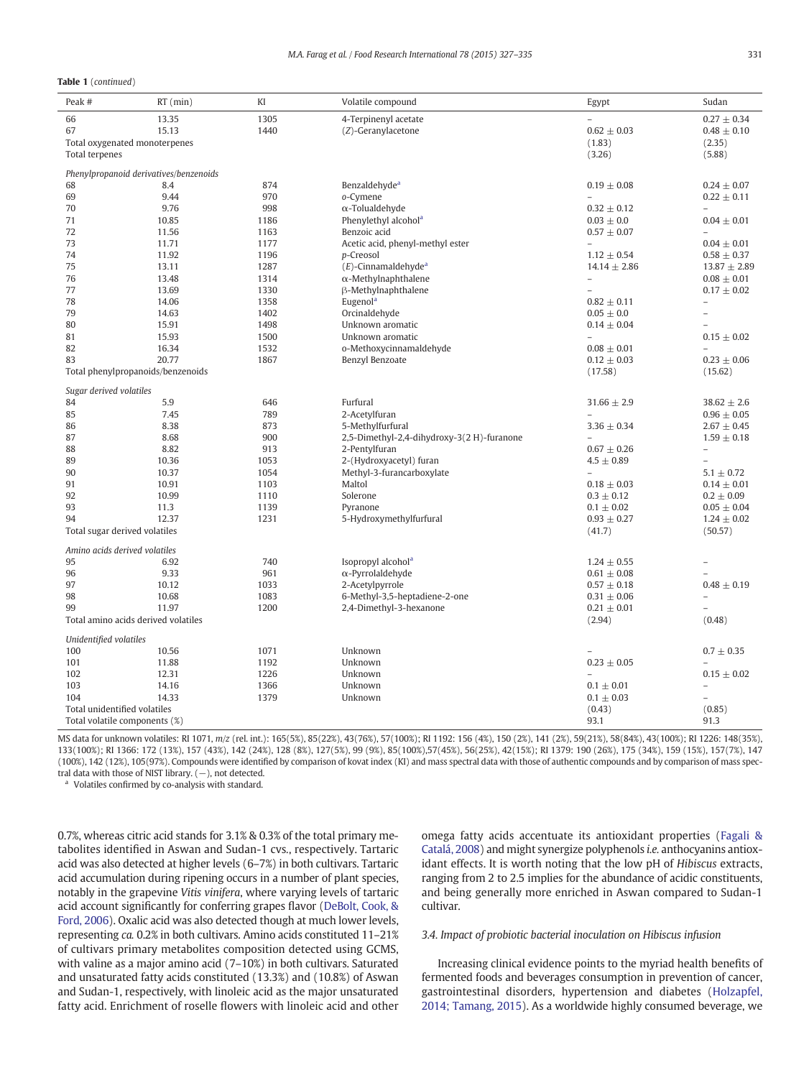#### <span id="page-4-0"></span>Table 1 (continued)

| 66<br>13.35<br>1305<br>4-Terpinenyl acetate<br>$0.27 \pm 0.34$<br>1440<br>67<br>15.13<br>(Z)-Geranylacetone<br>$0.62 \pm 0.03$<br>$0.48 \pm 0.10$<br>Total oxygenated monoterpenes<br>(1.83)<br>(2.35)<br>Total terpenes<br>(3.26)<br>(5.88)<br>Phenylpropanoid derivatives/benzenoids<br>Benzaldehyde <sup>a</sup><br>68<br>8.4<br>874<br>$0.19 \pm 0.08$<br>$0.24 \pm 0.07$<br>69<br>9.44<br>970<br>o-Cymene<br>$0.22 \pm 0.11$<br>$\overline{a}$<br>998<br>70<br>9.76<br>$\alpha$ -Tolualdehyde<br>$0.32 \pm 0.12$<br>Phenylethyl alcohol <sup>a</sup><br>71<br>10.85<br>1186<br>$0.03 \pm 0.0$<br>$0.04 \pm 0.01$<br>72<br>Benzoic acid<br>11.56<br>1163<br>$0.57 \pm 0.07$<br>$\overline{a}$<br>73<br>1177<br>Acetic acid, phenyl-methyl ester<br>11.71<br>$0.04 \pm 0.01$<br>74<br>11.92<br>1196<br>p-Creosol<br>$1.12\,\pm\,0.54$<br>$0.58 \pm 0.37$<br>75<br>1287<br>$(E)$ -Cinnamaldehyde <sup>a</sup><br>13.11<br>$14.14 \pm 2.86$<br>$13.87 \pm 2.89$<br>76<br>13.48<br>1314<br>$\alpha$ -Methylnaphthalene<br>$0.08 \pm 0.01$<br>77<br>13.69<br>β-Methylnaphthalene<br>1330<br>$0.17 \pm 0.02$<br>Eugenol <sup>a</sup><br>78<br>14.06<br>1358<br>$0.82 \pm 0.11$<br>$\overline{\phantom{0}}$<br>79<br>14.63<br>1402<br>Orcinaldehyde<br>$0.05 \pm 0.0$<br>$\overline{\phantom{0}}$<br>80<br>15.91<br>1498<br>Unknown aromatic<br>$0.14 \pm 0.04$<br>81<br>15.93<br>1500<br>Unknown aromatic<br>$0.15 \pm 0.02$<br>82<br>1532<br>16.34<br>o-Methoxycinnamaldehyde<br>$0.08 \pm 0.01$<br>$\overline{a}$<br>20.77<br>1867<br>Benzyl Benzoate<br>$0.12 \pm 0.03$<br>$0.23 \pm 0.06$<br>83<br>Total phenylpropanoids/benzenoids<br>(17.58)<br>(15.62)<br>Sugar derived volatiles<br>84<br>5.9<br>646<br>Furfural<br>$31.66 \pm 2.9$<br>$38.62 \pm 2.6$<br>7.45<br>789<br>2-Acetylfuran<br>85<br>$0.96 \pm 0.05$<br>86<br>8.38<br>873<br>5-Methylfurfural<br>$3.36 \pm 0.34$<br>$2.67 \pm 0.45$<br>87<br>8.68<br>900<br>2,5-Dimethyl-2,4-dihydroxy-3(2 H)-furanone<br>$1.59 \pm 0.18$<br>8.82<br>913<br>88<br>2-Pentylfuran<br>$0.67 \pm 0.26$<br>89<br>10.36<br>1053<br>2-(Hydroxyacetyl) furan<br>$4.5 \pm 0.89$<br>90<br>10.37<br>1054<br>Methyl-3-furancarboxylate<br>$5.1 \pm 0.72$<br>$\overline{a}$<br>91<br>10.91<br>1103<br>Maltol<br>$0.18 \pm 0.03$<br>$0.14 \pm 0.01$<br>92<br>10.99<br>Solerone<br>$0.3 \pm 0.12$<br>1110<br>$0.2 \pm 0.09$<br>93<br>1139<br>Pyranone<br>11.3<br>$0.1 \pm 0.02$<br>$0.05 \pm 0.04$<br>1231<br>5-Hydroxymethylfurfural<br>94<br>12.37<br>$0.93 \pm 0.27$<br>$1.24 \pm 0.02$<br>Total sugar derived volatiles<br>(41.7)<br>(50.57)<br>Amino acids derived volatiles<br>95<br>740<br>Isopropyl alcohol <sup>a</sup><br>6.92<br>$1.24 \pm 0.55$<br>96<br>9.33<br>961<br>$\alpha$ -Pyrrolaldehyde<br>$0.61 \pm 0.08$<br>97<br>1033<br>2-Acetylpyrrole<br>$0.48 \pm 0.19$<br>10.12<br>$0.57 \pm 0.18$ | Peak #                                                  | $RT$ (min) | KI | Volatile compound | Egypt | Sudan |  |  |  |  |
|----------------------------------------------------------------------------------------------------------------------------------------------------------------------------------------------------------------------------------------------------------------------------------------------------------------------------------------------------------------------------------------------------------------------------------------------------------------------------------------------------------------------------------------------------------------------------------------------------------------------------------------------------------------------------------------------------------------------------------------------------------------------------------------------------------------------------------------------------------------------------------------------------------------------------------------------------------------------------------------------------------------------------------------------------------------------------------------------------------------------------------------------------------------------------------------------------------------------------------------------------------------------------------------------------------------------------------------------------------------------------------------------------------------------------------------------------------------------------------------------------------------------------------------------------------------------------------------------------------------------------------------------------------------------------------------------------------------------------------------------------------------------------------------------------------------------------------------------------------------------------------------------------------------------------------------------------------------------------------------------------------------------------------------------------------------------------------------------------------------------------------------------------------------------------------------------------------------------------------------------------------------------------------------------------------------------------------------------------------------------------------------------------------------------------------------------------------------------------------------------------------------------------------------------------------------------------------------------------------------------------------------------------------------------------------------------------------------------------------------------------------------------------------------------------------------------------------------------------|---------------------------------------------------------|------------|----|-------------------|-------|-------|--|--|--|--|
|                                                                                                                                                                                                                                                                                                                                                                                                                                                                                                                                                                                                                                                                                                                                                                                                                                                                                                                                                                                                                                                                                                                                                                                                                                                                                                                                                                                                                                                                                                                                                                                                                                                                                                                                                                                                                                                                                                                                                                                                                                                                                                                                                                                                                                                                                                                                                                                                                                                                                                                                                                                                                                                                                                                                                                                                                                                    |                                                         |            |    |                   |       |       |  |  |  |  |
|                                                                                                                                                                                                                                                                                                                                                                                                                                                                                                                                                                                                                                                                                                                                                                                                                                                                                                                                                                                                                                                                                                                                                                                                                                                                                                                                                                                                                                                                                                                                                                                                                                                                                                                                                                                                                                                                                                                                                                                                                                                                                                                                                                                                                                                                                                                                                                                                                                                                                                                                                                                                                                                                                                                                                                                                                                                    |                                                         |            |    |                   |       |       |  |  |  |  |
|                                                                                                                                                                                                                                                                                                                                                                                                                                                                                                                                                                                                                                                                                                                                                                                                                                                                                                                                                                                                                                                                                                                                                                                                                                                                                                                                                                                                                                                                                                                                                                                                                                                                                                                                                                                                                                                                                                                                                                                                                                                                                                                                                                                                                                                                                                                                                                                                                                                                                                                                                                                                                                                                                                                                                                                                                                                    |                                                         |            |    |                   |       |       |  |  |  |  |
|                                                                                                                                                                                                                                                                                                                                                                                                                                                                                                                                                                                                                                                                                                                                                                                                                                                                                                                                                                                                                                                                                                                                                                                                                                                                                                                                                                                                                                                                                                                                                                                                                                                                                                                                                                                                                                                                                                                                                                                                                                                                                                                                                                                                                                                                                                                                                                                                                                                                                                                                                                                                                                                                                                                                                                                                                                                    |                                                         |            |    |                   |       |       |  |  |  |  |
|                                                                                                                                                                                                                                                                                                                                                                                                                                                                                                                                                                                                                                                                                                                                                                                                                                                                                                                                                                                                                                                                                                                                                                                                                                                                                                                                                                                                                                                                                                                                                                                                                                                                                                                                                                                                                                                                                                                                                                                                                                                                                                                                                                                                                                                                                                                                                                                                                                                                                                                                                                                                                                                                                                                                                                                                                                                    |                                                         |            |    |                   |       |       |  |  |  |  |
|                                                                                                                                                                                                                                                                                                                                                                                                                                                                                                                                                                                                                                                                                                                                                                                                                                                                                                                                                                                                                                                                                                                                                                                                                                                                                                                                                                                                                                                                                                                                                                                                                                                                                                                                                                                                                                                                                                                                                                                                                                                                                                                                                                                                                                                                                                                                                                                                                                                                                                                                                                                                                                                                                                                                                                                                                                                    |                                                         |            |    |                   |       |       |  |  |  |  |
|                                                                                                                                                                                                                                                                                                                                                                                                                                                                                                                                                                                                                                                                                                                                                                                                                                                                                                                                                                                                                                                                                                                                                                                                                                                                                                                                                                                                                                                                                                                                                                                                                                                                                                                                                                                                                                                                                                                                                                                                                                                                                                                                                                                                                                                                                                                                                                                                                                                                                                                                                                                                                                                                                                                                                                                                                                                    |                                                         |            |    |                   |       |       |  |  |  |  |
|                                                                                                                                                                                                                                                                                                                                                                                                                                                                                                                                                                                                                                                                                                                                                                                                                                                                                                                                                                                                                                                                                                                                                                                                                                                                                                                                                                                                                                                                                                                                                                                                                                                                                                                                                                                                                                                                                                                                                                                                                                                                                                                                                                                                                                                                                                                                                                                                                                                                                                                                                                                                                                                                                                                                                                                                                                                    |                                                         |            |    |                   |       |       |  |  |  |  |
|                                                                                                                                                                                                                                                                                                                                                                                                                                                                                                                                                                                                                                                                                                                                                                                                                                                                                                                                                                                                                                                                                                                                                                                                                                                                                                                                                                                                                                                                                                                                                                                                                                                                                                                                                                                                                                                                                                                                                                                                                                                                                                                                                                                                                                                                                                                                                                                                                                                                                                                                                                                                                                                                                                                                                                                                                                                    |                                                         |            |    |                   |       |       |  |  |  |  |
|                                                                                                                                                                                                                                                                                                                                                                                                                                                                                                                                                                                                                                                                                                                                                                                                                                                                                                                                                                                                                                                                                                                                                                                                                                                                                                                                                                                                                                                                                                                                                                                                                                                                                                                                                                                                                                                                                                                                                                                                                                                                                                                                                                                                                                                                                                                                                                                                                                                                                                                                                                                                                                                                                                                                                                                                                                                    |                                                         |            |    |                   |       |       |  |  |  |  |
|                                                                                                                                                                                                                                                                                                                                                                                                                                                                                                                                                                                                                                                                                                                                                                                                                                                                                                                                                                                                                                                                                                                                                                                                                                                                                                                                                                                                                                                                                                                                                                                                                                                                                                                                                                                                                                                                                                                                                                                                                                                                                                                                                                                                                                                                                                                                                                                                                                                                                                                                                                                                                                                                                                                                                                                                                                                    |                                                         |            |    |                   |       |       |  |  |  |  |
|                                                                                                                                                                                                                                                                                                                                                                                                                                                                                                                                                                                                                                                                                                                                                                                                                                                                                                                                                                                                                                                                                                                                                                                                                                                                                                                                                                                                                                                                                                                                                                                                                                                                                                                                                                                                                                                                                                                                                                                                                                                                                                                                                                                                                                                                                                                                                                                                                                                                                                                                                                                                                                                                                                                                                                                                                                                    |                                                         |            |    |                   |       |       |  |  |  |  |
|                                                                                                                                                                                                                                                                                                                                                                                                                                                                                                                                                                                                                                                                                                                                                                                                                                                                                                                                                                                                                                                                                                                                                                                                                                                                                                                                                                                                                                                                                                                                                                                                                                                                                                                                                                                                                                                                                                                                                                                                                                                                                                                                                                                                                                                                                                                                                                                                                                                                                                                                                                                                                                                                                                                                                                                                                                                    |                                                         |            |    |                   |       |       |  |  |  |  |
|                                                                                                                                                                                                                                                                                                                                                                                                                                                                                                                                                                                                                                                                                                                                                                                                                                                                                                                                                                                                                                                                                                                                                                                                                                                                                                                                                                                                                                                                                                                                                                                                                                                                                                                                                                                                                                                                                                                                                                                                                                                                                                                                                                                                                                                                                                                                                                                                                                                                                                                                                                                                                                                                                                                                                                                                                                                    |                                                         |            |    |                   |       |       |  |  |  |  |
|                                                                                                                                                                                                                                                                                                                                                                                                                                                                                                                                                                                                                                                                                                                                                                                                                                                                                                                                                                                                                                                                                                                                                                                                                                                                                                                                                                                                                                                                                                                                                                                                                                                                                                                                                                                                                                                                                                                                                                                                                                                                                                                                                                                                                                                                                                                                                                                                                                                                                                                                                                                                                                                                                                                                                                                                                                                    |                                                         |            |    |                   |       |       |  |  |  |  |
|                                                                                                                                                                                                                                                                                                                                                                                                                                                                                                                                                                                                                                                                                                                                                                                                                                                                                                                                                                                                                                                                                                                                                                                                                                                                                                                                                                                                                                                                                                                                                                                                                                                                                                                                                                                                                                                                                                                                                                                                                                                                                                                                                                                                                                                                                                                                                                                                                                                                                                                                                                                                                                                                                                                                                                                                                                                    |                                                         |            |    |                   |       |       |  |  |  |  |
|                                                                                                                                                                                                                                                                                                                                                                                                                                                                                                                                                                                                                                                                                                                                                                                                                                                                                                                                                                                                                                                                                                                                                                                                                                                                                                                                                                                                                                                                                                                                                                                                                                                                                                                                                                                                                                                                                                                                                                                                                                                                                                                                                                                                                                                                                                                                                                                                                                                                                                                                                                                                                                                                                                                                                                                                                                                    |                                                         |            |    |                   |       |       |  |  |  |  |
|                                                                                                                                                                                                                                                                                                                                                                                                                                                                                                                                                                                                                                                                                                                                                                                                                                                                                                                                                                                                                                                                                                                                                                                                                                                                                                                                                                                                                                                                                                                                                                                                                                                                                                                                                                                                                                                                                                                                                                                                                                                                                                                                                                                                                                                                                                                                                                                                                                                                                                                                                                                                                                                                                                                                                                                                                                                    |                                                         |            |    |                   |       |       |  |  |  |  |
|                                                                                                                                                                                                                                                                                                                                                                                                                                                                                                                                                                                                                                                                                                                                                                                                                                                                                                                                                                                                                                                                                                                                                                                                                                                                                                                                                                                                                                                                                                                                                                                                                                                                                                                                                                                                                                                                                                                                                                                                                                                                                                                                                                                                                                                                                                                                                                                                                                                                                                                                                                                                                                                                                                                                                                                                                                                    |                                                         |            |    |                   |       |       |  |  |  |  |
|                                                                                                                                                                                                                                                                                                                                                                                                                                                                                                                                                                                                                                                                                                                                                                                                                                                                                                                                                                                                                                                                                                                                                                                                                                                                                                                                                                                                                                                                                                                                                                                                                                                                                                                                                                                                                                                                                                                                                                                                                                                                                                                                                                                                                                                                                                                                                                                                                                                                                                                                                                                                                                                                                                                                                                                                                                                    |                                                         |            |    |                   |       |       |  |  |  |  |
|                                                                                                                                                                                                                                                                                                                                                                                                                                                                                                                                                                                                                                                                                                                                                                                                                                                                                                                                                                                                                                                                                                                                                                                                                                                                                                                                                                                                                                                                                                                                                                                                                                                                                                                                                                                                                                                                                                                                                                                                                                                                                                                                                                                                                                                                                                                                                                                                                                                                                                                                                                                                                                                                                                                                                                                                                                                    |                                                         |            |    |                   |       |       |  |  |  |  |
|                                                                                                                                                                                                                                                                                                                                                                                                                                                                                                                                                                                                                                                                                                                                                                                                                                                                                                                                                                                                                                                                                                                                                                                                                                                                                                                                                                                                                                                                                                                                                                                                                                                                                                                                                                                                                                                                                                                                                                                                                                                                                                                                                                                                                                                                                                                                                                                                                                                                                                                                                                                                                                                                                                                                                                                                                                                    |                                                         |            |    |                   |       |       |  |  |  |  |
|                                                                                                                                                                                                                                                                                                                                                                                                                                                                                                                                                                                                                                                                                                                                                                                                                                                                                                                                                                                                                                                                                                                                                                                                                                                                                                                                                                                                                                                                                                                                                                                                                                                                                                                                                                                                                                                                                                                                                                                                                                                                                                                                                                                                                                                                                                                                                                                                                                                                                                                                                                                                                                                                                                                                                                                                                                                    |                                                         |            |    |                   |       |       |  |  |  |  |
|                                                                                                                                                                                                                                                                                                                                                                                                                                                                                                                                                                                                                                                                                                                                                                                                                                                                                                                                                                                                                                                                                                                                                                                                                                                                                                                                                                                                                                                                                                                                                                                                                                                                                                                                                                                                                                                                                                                                                                                                                                                                                                                                                                                                                                                                                                                                                                                                                                                                                                                                                                                                                                                                                                                                                                                                                                                    |                                                         |            |    |                   |       |       |  |  |  |  |
|                                                                                                                                                                                                                                                                                                                                                                                                                                                                                                                                                                                                                                                                                                                                                                                                                                                                                                                                                                                                                                                                                                                                                                                                                                                                                                                                                                                                                                                                                                                                                                                                                                                                                                                                                                                                                                                                                                                                                                                                                                                                                                                                                                                                                                                                                                                                                                                                                                                                                                                                                                                                                                                                                                                                                                                                                                                    |                                                         |            |    |                   |       |       |  |  |  |  |
|                                                                                                                                                                                                                                                                                                                                                                                                                                                                                                                                                                                                                                                                                                                                                                                                                                                                                                                                                                                                                                                                                                                                                                                                                                                                                                                                                                                                                                                                                                                                                                                                                                                                                                                                                                                                                                                                                                                                                                                                                                                                                                                                                                                                                                                                                                                                                                                                                                                                                                                                                                                                                                                                                                                                                                                                                                                    |                                                         |            |    |                   |       |       |  |  |  |  |
|                                                                                                                                                                                                                                                                                                                                                                                                                                                                                                                                                                                                                                                                                                                                                                                                                                                                                                                                                                                                                                                                                                                                                                                                                                                                                                                                                                                                                                                                                                                                                                                                                                                                                                                                                                                                                                                                                                                                                                                                                                                                                                                                                                                                                                                                                                                                                                                                                                                                                                                                                                                                                                                                                                                                                                                                                                                    |                                                         |            |    |                   |       |       |  |  |  |  |
|                                                                                                                                                                                                                                                                                                                                                                                                                                                                                                                                                                                                                                                                                                                                                                                                                                                                                                                                                                                                                                                                                                                                                                                                                                                                                                                                                                                                                                                                                                                                                                                                                                                                                                                                                                                                                                                                                                                                                                                                                                                                                                                                                                                                                                                                                                                                                                                                                                                                                                                                                                                                                                                                                                                                                                                                                                                    |                                                         |            |    |                   |       |       |  |  |  |  |
|                                                                                                                                                                                                                                                                                                                                                                                                                                                                                                                                                                                                                                                                                                                                                                                                                                                                                                                                                                                                                                                                                                                                                                                                                                                                                                                                                                                                                                                                                                                                                                                                                                                                                                                                                                                                                                                                                                                                                                                                                                                                                                                                                                                                                                                                                                                                                                                                                                                                                                                                                                                                                                                                                                                                                                                                                                                    |                                                         |            |    |                   |       |       |  |  |  |  |
|                                                                                                                                                                                                                                                                                                                                                                                                                                                                                                                                                                                                                                                                                                                                                                                                                                                                                                                                                                                                                                                                                                                                                                                                                                                                                                                                                                                                                                                                                                                                                                                                                                                                                                                                                                                                                                                                                                                                                                                                                                                                                                                                                                                                                                                                                                                                                                                                                                                                                                                                                                                                                                                                                                                                                                                                                                                    |                                                         |            |    |                   |       |       |  |  |  |  |
|                                                                                                                                                                                                                                                                                                                                                                                                                                                                                                                                                                                                                                                                                                                                                                                                                                                                                                                                                                                                                                                                                                                                                                                                                                                                                                                                                                                                                                                                                                                                                                                                                                                                                                                                                                                                                                                                                                                                                                                                                                                                                                                                                                                                                                                                                                                                                                                                                                                                                                                                                                                                                                                                                                                                                                                                                                                    |                                                         |            |    |                   |       |       |  |  |  |  |
|                                                                                                                                                                                                                                                                                                                                                                                                                                                                                                                                                                                                                                                                                                                                                                                                                                                                                                                                                                                                                                                                                                                                                                                                                                                                                                                                                                                                                                                                                                                                                                                                                                                                                                                                                                                                                                                                                                                                                                                                                                                                                                                                                                                                                                                                                                                                                                                                                                                                                                                                                                                                                                                                                                                                                                                                                                                    |                                                         |            |    |                   |       |       |  |  |  |  |
|                                                                                                                                                                                                                                                                                                                                                                                                                                                                                                                                                                                                                                                                                                                                                                                                                                                                                                                                                                                                                                                                                                                                                                                                                                                                                                                                                                                                                                                                                                                                                                                                                                                                                                                                                                                                                                                                                                                                                                                                                                                                                                                                                                                                                                                                                                                                                                                                                                                                                                                                                                                                                                                                                                                                                                                                                                                    |                                                         |            |    |                   |       |       |  |  |  |  |
|                                                                                                                                                                                                                                                                                                                                                                                                                                                                                                                                                                                                                                                                                                                                                                                                                                                                                                                                                                                                                                                                                                                                                                                                                                                                                                                                                                                                                                                                                                                                                                                                                                                                                                                                                                                                                                                                                                                                                                                                                                                                                                                                                                                                                                                                                                                                                                                                                                                                                                                                                                                                                                                                                                                                                                                                                                                    |                                                         |            |    |                   |       |       |  |  |  |  |
|                                                                                                                                                                                                                                                                                                                                                                                                                                                                                                                                                                                                                                                                                                                                                                                                                                                                                                                                                                                                                                                                                                                                                                                                                                                                                                                                                                                                                                                                                                                                                                                                                                                                                                                                                                                                                                                                                                                                                                                                                                                                                                                                                                                                                                                                                                                                                                                                                                                                                                                                                                                                                                                                                                                                                                                                                                                    |                                                         |            |    |                   |       |       |  |  |  |  |
|                                                                                                                                                                                                                                                                                                                                                                                                                                                                                                                                                                                                                                                                                                                                                                                                                                                                                                                                                                                                                                                                                                                                                                                                                                                                                                                                                                                                                                                                                                                                                                                                                                                                                                                                                                                                                                                                                                                                                                                                                                                                                                                                                                                                                                                                                                                                                                                                                                                                                                                                                                                                                                                                                                                                                                                                                                                    |                                                         |            |    |                   |       |       |  |  |  |  |
|                                                                                                                                                                                                                                                                                                                                                                                                                                                                                                                                                                                                                                                                                                                                                                                                                                                                                                                                                                                                                                                                                                                                                                                                                                                                                                                                                                                                                                                                                                                                                                                                                                                                                                                                                                                                                                                                                                                                                                                                                                                                                                                                                                                                                                                                                                                                                                                                                                                                                                                                                                                                                                                                                                                                                                                                                                                    |                                                         |            |    |                   |       |       |  |  |  |  |
|                                                                                                                                                                                                                                                                                                                                                                                                                                                                                                                                                                                                                                                                                                                                                                                                                                                                                                                                                                                                                                                                                                                                                                                                                                                                                                                                                                                                                                                                                                                                                                                                                                                                                                                                                                                                                                                                                                                                                                                                                                                                                                                                                                                                                                                                                                                                                                                                                                                                                                                                                                                                                                                                                                                                                                                                                                                    |                                                         |            |    |                   |       |       |  |  |  |  |
|                                                                                                                                                                                                                                                                                                                                                                                                                                                                                                                                                                                                                                                                                                                                                                                                                                                                                                                                                                                                                                                                                                                                                                                                                                                                                                                                                                                                                                                                                                                                                                                                                                                                                                                                                                                                                                                                                                                                                                                                                                                                                                                                                                                                                                                                                                                                                                                                                                                                                                                                                                                                                                                                                                                                                                                                                                                    |                                                         |            |    |                   |       |       |  |  |  |  |
| 1083<br>98<br>10.68<br>6-Methyl-3,5-heptadiene-2-one<br>$0.31 \pm 0.06$                                                                                                                                                                                                                                                                                                                                                                                                                                                                                                                                                                                                                                                                                                                                                                                                                                                                                                                                                                                                                                                                                                                                                                                                                                                                                                                                                                                                                                                                                                                                                                                                                                                                                                                                                                                                                                                                                                                                                                                                                                                                                                                                                                                                                                                                                                                                                                                                                                                                                                                                                                                                                                                                                                                                                                            |                                                         |            |    |                   |       |       |  |  |  |  |
| 11.97<br>1200<br>2,4-Dimethyl-3-hexanone<br>$0.21 \pm 0.01$<br>99<br>$\equiv$                                                                                                                                                                                                                                                                                                                                                                                                                                                                                                                                                                                                                                                                                                                                                                                                                                                                                                                                                                                                                                                                                                                                                                                                                                                                                                                                                                                                                                                                                                                                                                                                                                                                                                                                                                                                                                                                                                                                                                                                                                                                                                                                                                                                                                                                                                                                                                                                                                                                                                                                                                                                                                                                                                                                                                      |                                                         |            |    |                   |       |       |  |  |  |  |
|                                                                                                                                                                                                                                                                                                                                                                                                                                                                                                                                                                                                                                                                                                                                                                                                                                                                                                                                                                                                                                                                                                                                                                                                                                                                                                                                                                                                                                                                                                                                                                                                                                                                                                                                                                                                                                                                                                                                                                                                                                                                                                                                                                                                                                                                                                                                                                                                                                                                                                                                                                                                                                                                                                                                                                                                                                                    | Total amino acids derived volatiles<br>(2.94)<br>(0.48) |            |    |                   |       |       |  |  |  |  |
| Unidentified volatiles                                                                                                                                                                                                                                                                                                                                                                                                                                                                                                                                                                                                                                                                                                                                                                                                                                                                                                                                                                                                                                                                                                                                                                                                                                                                                                                                                                                                                                                                                                                                                                                                                                                                                                                                                                                                                                                                                                                                                                                                                                                                                                                                                                                                                                                                                                                                                                                                                                                                                                                                                                                                                                                                                                                                                                                                                             |                                                         |            |    |                   |       |       |  |  |  |  |
| 100<br>10.56<br>1071<br>Unknown<br>$0.7 \pm 0.35$                                                                                                                                                                                                                                                                                                                                                                                                                                                                                                                                                                                                                                                                                                                                                                                                                                                                                                                                                                                                                                                                                                                                                                                                                                                                                                                                                                                                                                                                                                                                                                                                                                                                                                                                                                                                                                                                                                                                                                                                                                                                                                                                                                                                                                                                                                                                                                                                                                                                                                                                                                                                                                                                                                                                                                                                  |                                                         |            |    |                   |       |       |  |  |  |  |
| $0.23 \pm 0.05$<br>101<br>11.88<br>1192<br>Unknown                                                                                                                                                                                                                                                                                                                                                                                                                                                                                                                                                                                                                                                                                                                                                                                                                                                                                                                                                                                                                                                                                                                                                                                                                                                                                                                                                                                                                                                                                                                                                                                                                                                                                                                                                                                                                                                                                                                                                                                                                                                                                                                                                                                                                                                                                                                                                                                                                                                                                                                                                                                                                                                                                                                                                                                                 |                                                         |            |    |                   |       |       |  |  |  |  |
| 102<br>1226<br>12.31<br>Unknown<br>$0.15 \pm 0.02$                                                                                                                                                                                                                                                                                                                                                                                                                                                                                                                                                                                                                                                                                                                                                                                                                                                                                                                                                                                                                                                                                                                                                                                                                                                                                                                                                                                                                                                                                                                                                                                                                                                                                                                                                                                                                                                                                                                                                                                                                                                                                                                                                                                                                                                                                                                                                                                                                                                                                                                                                                                                                                                                                                                                                                                                 |                                                         |            |    |                   |       |       |  |  |  |  |
| 103<br>Unknown<br>14.16<br>1366<br>$0.1 \pm 0.01$                                                                                                                                                                                                                                                                                                                                                                                                                                                                                                                                                                                                                                                                                                                                                                                                                                                                                                                                                                                                                                                                                                                                                                                                                                                                                                                                                                                                                                                                                                                                                                                                                                                                                                                                                                                                                                                                                                                                                                                                                                                                                                                                                                                                                                                                                                                                                                                                                                                                                                                                                                                                                                                                                                                                                                                                  |                                                         |            |    |                   |       |       |  |  |  |  |
| $0.1 \pm 0.03$<br>104<br>14.33<br>1379<br>Unknown<br>$\overline{a}$                                                                                                                                                                                                                                                                                                                                                                                                                                                                                                                                                                                                                                                                                                                                                                                                                                                                                                                                                                                                                                                                                                                                                                                                                                                                                                                                                                                                                                                                                                                                                                                                                                                                                                                                                                                                                                                                                                                                                                                                                                                                                                                                                                                                                                                                                                                                                                                                                                                                                                                                                                                                                                                                                                                                                                                |                                                         |            |    |                   |       |       |  |  |  |  |
| Total unidentified volatiles<br>(0.43)<br>(0.85)                                                                                                                                                                                                                                                                                                                                                                                                                                                                                                                                                                                                                                                                                                                                                                                                                                                                                                                                                                                                                                                                                                                                                                                                                                                                                                                                                                                                                                                                                                                                                                                                                                                                                                                                                                                                                                                                                                                                                                                                                                                                                                                                                                                                                                                                                                                                                                                                                                                                                                                                                                                                                                                                                                                                                                                                   |                                                         |            |    |                   |       |       |  |  |  |  |
| 91.3<br>Total volatile components (%)                                                                                                                                                                                                                                                                                                                                                                                                                                                                                                                                                                                                                                                                                                                                                                                                                                                                                                                                                                                                                                                                                                                                                                                                                                                                                                                                                                                                                                                                                                                                                                                                                                                                                                                                                                                                                                                                                                                                                                                                                                                                                                                                                                                                                                                                                                                                                                                                                                                                                                                                                                                                                                                                                                                                                                                                              | 93.1                                                    |            |    |                   |       |       |  |  |  |  |

MS data for unknown volatiles: RI 1071, m/z (rel. int.): 165(5%), 85(22%), 43(76%), 57(100%); RI 1192: 156 (4%), 150 (2%), 141 (2%), 59(21%), 58(84%), 43(100%); RI 1226: 148(35%), 133(100%); RI 1366: 172 (13%), 157 (43%), 142 (24%), 128 (8%), 127(5%), 99 (9%), 85(100%),57(45%), 56(25%), 42(15%); RI 1379: 190 (26%), 175 (34%), 159 (15%), 157(7%), 147 (100%), 142 (12%), 105(97%). Compounds were identified by comparison of kovat index (KI) and mass spectral data with those of authentic compounds and by comparison of mass spectral data with those of NIST library. (−), not detected.

<sup>a</sup> Volatiles confirmed by co-analysis with standard.

0.7%, whereas citric acid stands for 3.1% & 0.3% of the total primary metabolites identified in Aswan and Sudan-1 cvs., respectively. Tartaric acid was also detected at higher levels (6–7%) in both cultivars. Tartaric acid accumulation during ripening occurs in a number of plant species, notably in the grapevine Vitis vinifera, where varying levels of tartaric acid account significantly for conferring grapes flavor ([DeBolt, Cook, &](#page-7-0) [Ford, 2006\)](#page-7-0). Oxalic acid was also detected though at much lower levels, representing ca. 0.2% in both cultivars. Amino acids constituted 11–21% of cultivars primary metabolites composition detected using GCMS, with valine as a major amino acid (7-10%) in both cultivars. Saturated and unsaturated fatty acids constituted (13.3%) and (10.8%) of Aswan and Sudan-1, respectively, with linoleic acid as the major unsaturated fatty acid. Enrichment of roselle flowers with linoleic acid and other

omega fatty acids accentuate its antioxidant properties ([Fagali &](#page-7-0) [Catalá, 2008](#page-7-0)) and might synergize polyphenols i.e. anthocyanins antioxidant effects. It is worth noting that the low pH of Hibiscus extracts, ranging from 2 to 2.5 implies for the abundance of acidic constituents, and being generally more enriched in Aswan compared to Sudan-1 cultivar.

# 3.4. Impact of probiotic bacterial inoculation on Hibiscus infusion

Increasing clinical evidence points to the myriad health benefits of fermented foods and beverages consumption in prevention of cancer, gastrointestinal disorders, hypertension and diabetes ([Holzapfel,](#page-8-0) [2014; Tamang, 2015](#page-8-0)). As a worldwide highly consumed beverage, we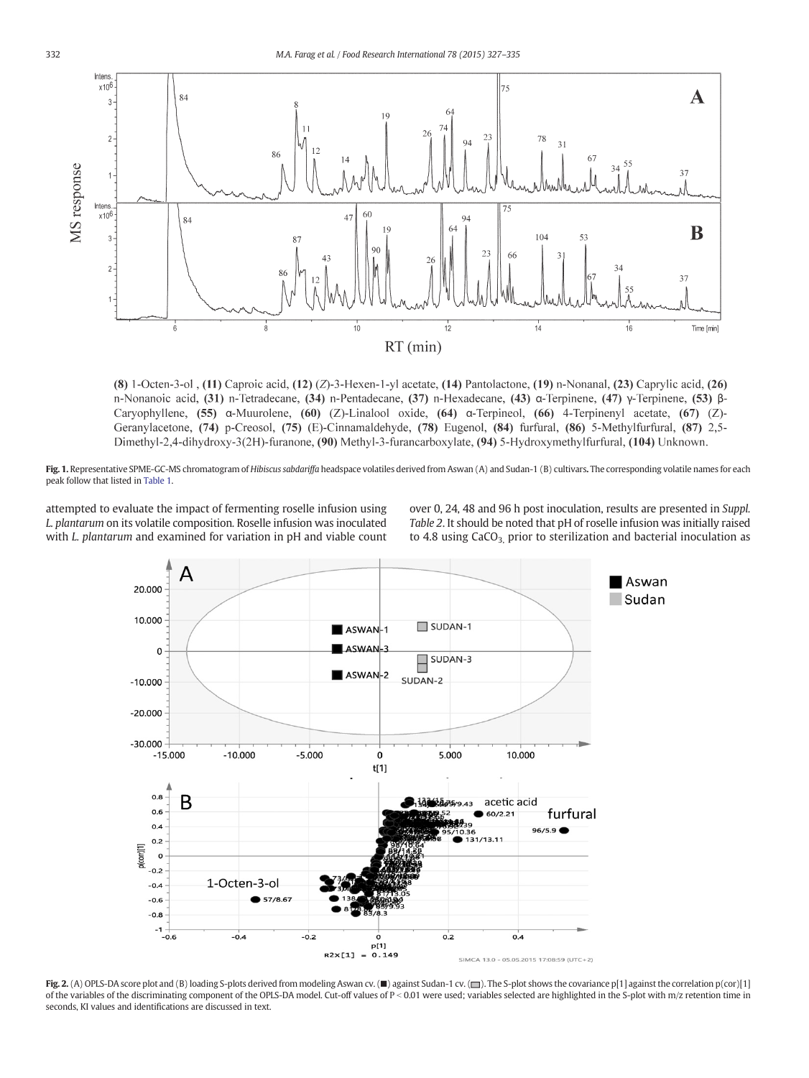<span id="page-5-0"></span>

(8) 1-Octen-3-ol , (11) Caproic acid, (12)  $(Z)$ -3-Hexen-1-yl acetate, (14) Pantolactone, (19) n-Nonanal, (23) Caprylic acid, (26) n-Nonanoic acid, (31) n-Tetradecane, (34) n-Pentadecane, (37) n-Hexadecane, (43) α-Terpinene, (47) γ-Terpinene, (53) β-Caryophyllene,  $(55)$  a-Muurolene,  $(60)$  (Z)-Linalool oxide,  $(64)$  a-Terpineol,  $(66)$  4-Terpinenyl acetate,  $(67)$  (Z)-Geranylacetone, (74) p-Creosol, (75) (E)-Cinnamaldehyde, (78) Eugenol, (84) furfural, (86) 5-Methylfurfural, (87) 2,5-Dimethyl-2,4-dihydroxy-3(2H)-furanone, (90) Methyl-3-furancarboxylate, (94) 5-Hydroxymethylfurfural, (104) Unknown.

Fig. 1. Representative SPME-GC-MS chromatogram of Hibiscus sabdariffa headspace volatiles derived from Aswan (A) and Sudan-1 (B) cultivars. The corresponding volatile names for each peak follow that listed in [Table 1](#page-3-0).

attempted to evaluate the impact of fermenting roselle infusion using L. plantarum on its volatile composition. Roselle infusion was inoculated with *L. plantarum* and examined for variation in pH and viable count over 0, 24, 48 and 96 h post inoculation, results are presented in Suppl. Table 2. It should be noted that pH of roselle infusion was initially raised to 4.8 using  $CaCO<sub>3</sub>$  prior to sterilization and bacterial inoculation as



Fig. 2. (A) OPLS-DA score plot and (B) loading S-plots derived from modeling Aswan cv. (■) against Sudan-1 cv. (■). The S-plot shows the covariance p[1] against the correlation p(cor)[1] of the variables of the discriminating component of the OPLS-DA model. Cut-off values of P < 0.01 were used; variables selected are highlighted in the S-plot with m/z retention time in seconds, KI values and identifications are discussed in text.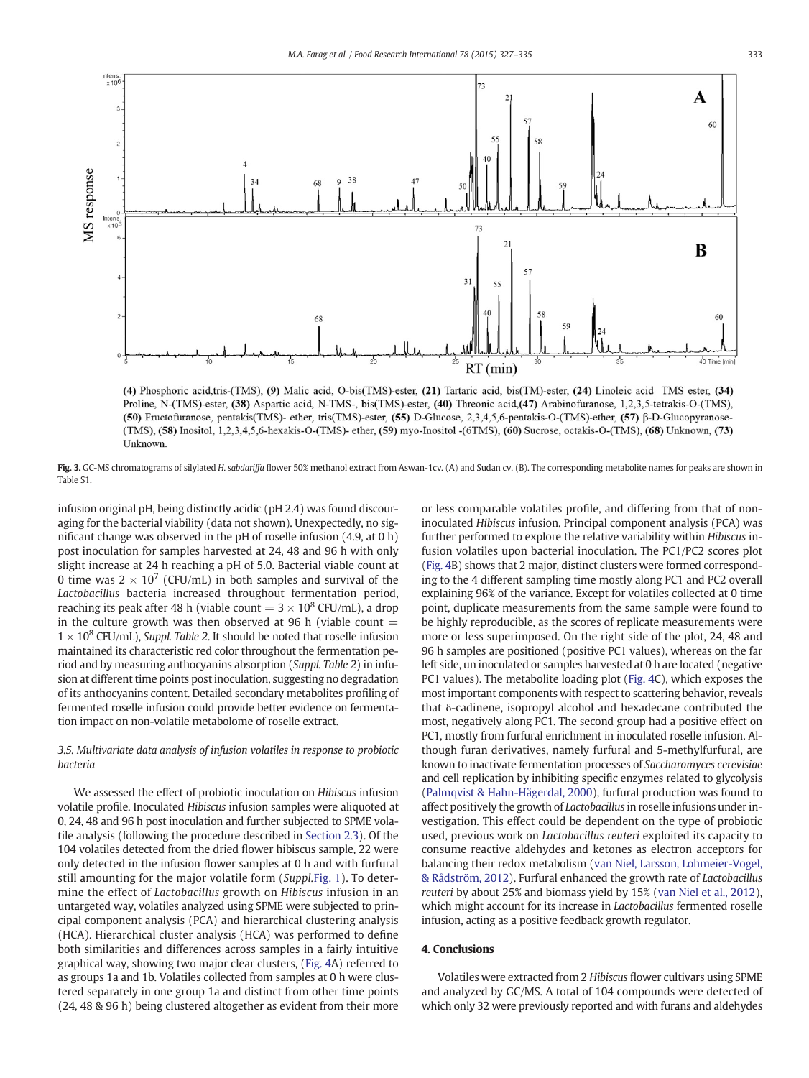<span id="page-6-0"></span>

(4) Phosphoric acid,tris-(TMS), (9) Malic acid, O-bis(TMS)-ester, (21) Tartaric acid, bis(TM)-ester, (24) Linoleic acid TMS ester, (34) Proline, N-(TMS)-ester, (38) Aspartic acid, N-TMS-, bis(TMS)-ester, (40) Threonic acid, (47) Arabinofuranose, 1,2,3,5-tetrakis-O-(TMS), (50) Fructofuranose, pentakis(TMS)- ether, tris(TMS)-ester, (55) D-Glucose, 2,3,4,5,6-pentakis-O-(TMS)-ether, (57) β-D-Glucopyranose-(TMS), (58) Inositol, 1,2,3,4,5,6-hexakis-O-(TMS)- ether, (59) myo-Inositol -(6TMS), (60) Sucrose, octakis-O-(TMS), (68) Unknown, (73) **Unknown** 

Fig. 3. GC-MS chromatograms of silylated H. sabdariffa flower 50% methanol extract from Aswan-1cv. (A) and Sudan cv. (B). The corresponding metabolite names for peaks are shown in Table S1.

infusion original pH, being distinctly acidic (pH 2.4) was found discouraging for the bacterial viability (data not shown). Unexpectedly, no significant change was observed in the pH of roselle infusion (4.9, at 0 h) post inoculation for samples harvested at 24, 48 and 96 h with only slight increase at 24 h reaching a pH of 5.0. Bacterial viable count at 0 time was  $2 \times 10^7$  (CFU/mL) in both samples and survival of the Lactobacillus bacteria increased throughout fermentation period, reaching its peak after 48 h (viable count  $= 3 \times 10^8$  CFU/mL), a drop in the culture growth was then observed at 96 h (viable count  $=$  $1 \times 10^8$  CFU/mL), Suppl. Table 2. It should be noted that roselle infusion maintained its characteristic red color throughout the fermentation period and by measuring anthocyanins absorption (Suppl. Table 2) in infusion at different time points post inoculation, suggesting no degradation of its anthocyanins content. Detailed secondary metabolites profiling of fermented roselle infusion could provide better evidence on fermentation impact on non-volatile metabolome of roselle extract.

# 3.5. Multivariate data analysis of infusion volatiles in response to probiotic bacteria

We assessed the effect of probiotic inoculation on Hibiscus infusion volatile profile. Inoculated Hibiscus infusion samples were aliquoted at 0, 24, 48 and 96 h post inoculation and further subjected to SPME volatile analysis (following the procedure described in [Section 2.3](#page-1-0)). Of the 104 volatiles detected from the dried flower hibiscus sample, 22 were only detected in the infusion flower samples at 0 h and with furfural still amounting for the major volatile form (Suppl.[Fig. 1](#page-5-0)). To determine the effect of Lactobacillus growth on Hibiscus infusion in an untargeted way, volatiles analyzed using SPME were subjected to principal component analysis (PCA) and hierarchical clustering analysis (HCA). Hierarchical cluster analysis (HCA) was performed to define both similarities and differences across samples in a fairly intuitive graphical way, showing two major clear clusters, ([Fig. 4A](#page-7-0)) referred to as groups 1a and 1b. Volatiles collected from samples at 0 h were clustered separately in one group 1a and distinct from other time points (24, 48 & 96 h) being clustered altogether as evident from their more or less comparable volatiles profile, and differing from that of noninoculated Hibiscus infusion. Principal component analysis (PCA) was further performed to explore the relative variability within Hibiscus infusion volatiles upon bacterial inoculation. The PC1/PC2 scores plot [\(Fig. 4](#page-7-0)B) shows that 2 major, distinct clusters were formed corresponding to the 4 different sampling time mostly along PC1 and PC2 overall explaining 96% of the variance. Except for volatiles collected at 0 time point, duplicate measurements from the same sample were found to be highly reproducible, as the scores of replicate measurements were more or less superimposed. On the right side of the plot, 24, 48 and 96 h samples are positioned (positive PC1 values), whereas on the far left side, un inoculated or samples harvested at 0 h are located (negative PC1 values). The metabolite loading plot ([Fig. 4C](#page-7-0)), which exposes the most important components with respect to scattering behavior, reveals that δ-cadinene, isopropyl alcohol and hexadecane contributed the most, negatively along PC1. The second group had a positive effect on PC1, mostly from furfural enrichment in inoculated roselle infusion. Although furan derivatives, namely furfural and 5-methylfurfural, are known to inactivate fermentation processes of Saccharomyces cerevisiae and cell replication by inhibiting specific enzymes related to glycolysis [\(Palmqvist & Hahn-Hägerdal, 2000](#page-8-0)), furfural production was found to affect positively the growth of Lactobacillus in roselle infusions under investigation. This effect could be dependent on the type of probiotic used, previous work on Lactobacillus reuteri exploited its capacity to consume reactive aldehydes and ketones as electron acceptors for balancing their redox metabolism ([van Niel, Larsson, Lohmeier-Vogel,](#page-8-0) [& Rådström, 2012\)](#page-8-0). Furfural enhanced the growth rate of Lactobacillus reuteri by about 25% and biomass yield by 15% ([van Niel et al., 2012](#page-8-0)), which might account for its increase in Lactobacillus fermented roselle infusion, acting as a positive feedback growth regulator.

# 4. Conclusions

Volatiles were extracted from 2 Hibiscus flower cultivars using SPME and analyzed by GC/MS. A total of 104 compounds were detected of which only 32 were previously reported and with furans and aldehydes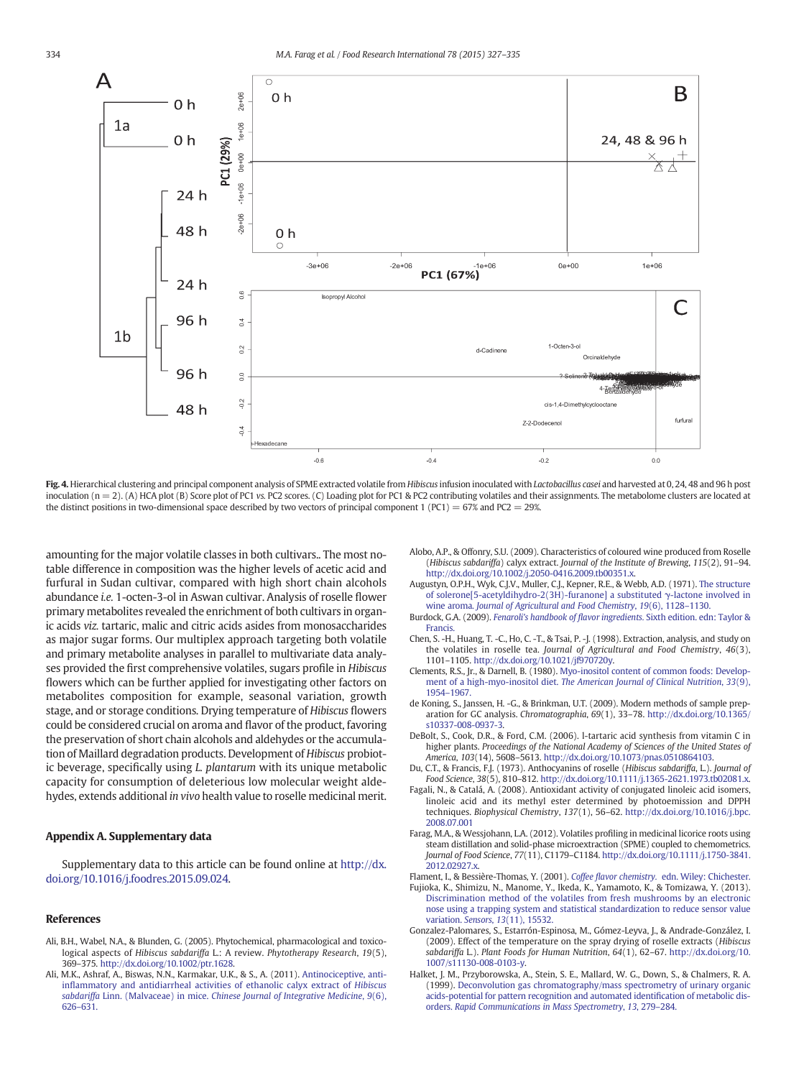<span id="page-7-0"></span>

Fig. 4. Hierarchical clustering and principal component analysis of SPME extracted volatile from Hibiscus infusion inoculated with Lactobacillus casei and harvested at 0, 24, 48 and 96 h post inoculation ( $n = 2$ ). (A) HCA plot (B) Score plot of PC1 vs. PC2 scores. (C) Loading plot for PC1 & PC2 contributing volatiles and their assignments. The metabolome clusters are located at the distinct positions in two-dimensional space described by two vectors of principal component 1 (PC1) = 67% and PC2 = 29%.

amounting for the major volatile classes in both cultivars.. The most notable difference in composition was the higher levels of acetic acid and furfural in Sudan cultivar, compared with high short chain alcohols abundance i.e. 1-octen-3-ol in Aswan cultivar. Analysis of roselle flower primary metabolites revealed the enrichment of both cultivars in organic acids viz. tartaric, malic and citric acids asides from monosaccharides as major sugar forms. Our multiplex approach targeting both volatile and primary metabolite analyses in parallel to multivariate data analyses provided the first comprehensive volatiles, sugars profile in Hibiscus flowers which can be further applied for investigating other factors on metabolites composition for example, seasonal variation, growth stage, and or storage conditions. Drying temperature of Hibiscus flowers could be considered crucial on aroma and flavor of the product, favoring the preservation of short chain alcohols and aldehydes or the accumulation of Maillard degradation products. Development of Hibiscus probiotic beverage, specifically using L. plantarum with its unique metabolic capacity for consumption of deleterious low molecular weight aldehydes, extends additional in vivo health value to roselle medicinal merit.

# Appendix A. Supplementary data

Supplementary data to this article can be found online at [http://dx.](http://dx.doi.org/10.1016/j.foodres.2015.09.024) [doi.org/10.1016/j.foodres.2015.09.024](http://dx.doi.org/10.1016/j.foodres.2015.09.024).

# References

- Ali, B.H., Wabel, N.A., & Blunden, G. (2005). Phytochemical, pharmacological and toxicological aspects of Hibiscus sabdariffa L.: A review. Phytotherapy Research, 19(5), 369–375. http://dx.doi.org/[10.1002/ptr.1628.](http://dx.doi.org/10.1002/ptr.1628)
- Ali, M.K., Ashraf, A., Biswas, N.N., Karmakar, U.K., & S., A. (2011). [Antinociceptive, anti](http://refhub.elsevier.com/S0963-9969(15)30199-X/rf0010)infl[ammatory and antidiarrheal activities of ethanolic calyx extract of](http://refhub.elsevier.com/S0963-9969(15)30199-X/rf0010) Hibiscus sabdariffa Linn. (Malvaceae) in mice. [Chinese Journal of Integrative Medicine](http://refhub.elsevier.com/S0963-9969(15)30199-X/rf0010), 9(6), 626–[631.](http://refhub.elsevier.com/S0963-9969(15)30199-X/rf0010)
- Alobo, A.P., & Offonry, S.U. (2009). Characteristics of coloured wine produced from Roselle (Hibiscus sabdariffa) calyx extract. Journal of the Institute of Brewing, 115(2), 91–94. http://dx.doi.org[/10.1002/j.2050-0416.2009.tb00351.x.](http://dx.doi.org/10.1002/j.2050-0416.2009.tb00351.x)
- Augustyn, O.P.H., Wyk, C.J.V., Muller, C.J., Kepner, R.E., & Webb, A.D. (1971). [The structure](http://refhub.elsevier.com/S0963-9969(15)30199-X/rf0020) [of solerone\[5-acetyldihydro-2\(3H\)-furanone\] a substituted](http://refhub.elsevier.com/S0963-9969(15)30199-X/rf0020) γ-lactone involved in wine aroma. [Journal of Agricultural and Food Chemistry](http://refhub.elsevier.com/S0963-9969(15)30199-X/rf0020), 19(6), 1128–1130.
- Burdock, G.A. (2009). Fenaroli's handbook of flavor ingredients. [Sixth edition. edn: Taylor &](http://refhub.elsevier.com/S0963-9969(15)30199-X/rf0025) **Francis**
- Chen, S. -H., Huang, T. -C., Ho, C. -T., & Tsai, P. -J. (1998). Extraction, analysis, and study on the volatiles in roselle tea. Journal of Agricultural and Food Chemistry, 46(3), 1101–1105. http://dx.doi.org/[10.1021/jf970720y](http://dx.doi.org/10.1021/jf970720y).
- Clements, R.S., Jr., & Darnell, B. (1980). [Myo-inositol content of common foods: Develop](http://refhub.elsevier.com/S0963-9969(15)30199-X/rf0035)ment of a high-myo-inositol diet. [The American Journal of Clinical Nutrition](http://refhub.elsevier.com/S0963-9969(15)30199-X/rf0035), 33(9), 1954–[1967.](http://refhub.elsevier.com/S0963-9969(15)30199-X/rf0035)
- de Koning, S., Janssen, H. -G., & Brinkman, U.T. (2009). Modern methods of sample preparation for GC analysis. Chromatographia, 69(1), 33–78. http://dx.doi.org[/10.1365/](http://dx.doi.org/10.1365/s10337-008-0937-3) [s10337-008-0937-3](http://dx.doi.org/10.1365/s10337-008-0937-3).
- DeBolt, S., Cook, D.R., & Ford, C.M. (2006). l-tartaric acid synthesis from vitamin C in higher plants. Proceedings of the National Academy of Sciences of the United States of America, 103(14), 5608–5613. http://dx.doi.org[/10.1073/pnas.0510864103](http://dx.doi.org/10.1073/pnas.0510864103).
- Du, C.T., & Francis, F.J. (1973). Anthocyanins of roselle (Hibiscus sabdariffa, L.). Journal of Food Science, 38(5), 810–812. http://dx.doi.org[/10.1111/j.1365-2621.1973.tb02081.x](http://dx.doi.org/10.1111/j.1365-2621.1973.tb02081.x).
- Fagali, N., & Catalá, A. (2008). Antioxidant activity of conjugated linoleic acid isomers, linoleic acid and its methyl ester determined by photoemission and DPPH techniques. Biophysical Chemistry, 137(1), 56–62. [http://dx.doi.org/10.1016/j.bpc.](http://dx.doi.org/10.1016/j.bpc.2008.07.001) [2008.07.001](http://dx.doi.org/10.1016/j.bpc.2008.07.001)
- Farag, M.A., & Wessjohann, L.A. (2012). Volatiles profiling in medicinal licorice roots using steam distillation and solid-phase microextraction (SPME) coupled to chemometrics. Journal of Food Science, 77(11), C1179–C1184. http://dx.doi.org[/10.1111/j.1750-3841.](http://dx.doi.org/10.1111/j.1750-3841.2012.02927.x) [2012.02927.x.](http://dx.doi.org/10.1111/j.1750-3841.2012.02927.x)
- Flament, I., & Bessière-Thomas, Y. (2001). Coffee flavor chemistry. [edn. Wiley: Chichester.](http://refhub.elsevier.com/S0963-9969(15)30199-X/rf0065) Fujioka, K., Shimizu, N., Manome, Y., Ikeda, K., Yamamoto, K., & Tomizawa, Y. (2013). [Discrimination method of the volatiles from fresh mushrooms by an electronic](http://refhub.elsevier.com/S0963-9969(15)30199-X/rf0070) [nose using a trapping system and statistical standardization to reduce sensor value](http://refhub.elsevier.com/S0963-9969(15)30199-X/rf0070) variation. Sensors, 13[\(11\), 15532.](http://refhub.elsevier.com/S0963-9969(15)30199-X/rf0070)
- Gonzalez-Palomares, S., Estarrón-Espinosa, M., Gómez-Leyva, J., & Andrade-González, I. (2009). Effect of the temperature on the spray drying of roselle extracts (Hibiscus sabdariffa L.). Plant Foods for Human Nutrition, 64(1), 62–67. http://dx.doi.org/[10.](http://dx.doi.org/10.1007/s11130-008-0103-y) [1007/s11130-008-0103-y](http://dx.doi.org/10.1007/s11130-008-0103-y).
- Halket, J. M., Przyborowska, A., Stein, S. E., Mallard, W. G., Down, S., & Chalmers, R. A. (1999). [Deconvolution gas chromatography/mass spectrometry of urinary organic](http://refhub.elsevier.com/S0963-9969(15)30199-X/rf9000) [acids-potential for pattern recognition and automated identi](http://refhub.elsevier.com/S0963-9969(15)30199-X/rf9000)fication of metabolic disorders. [Rapid Communications in Mass Spectrometry](http://refhub.elsevier.com/S0963-9969(15)30199-X/rf9000), 13, 279–284.